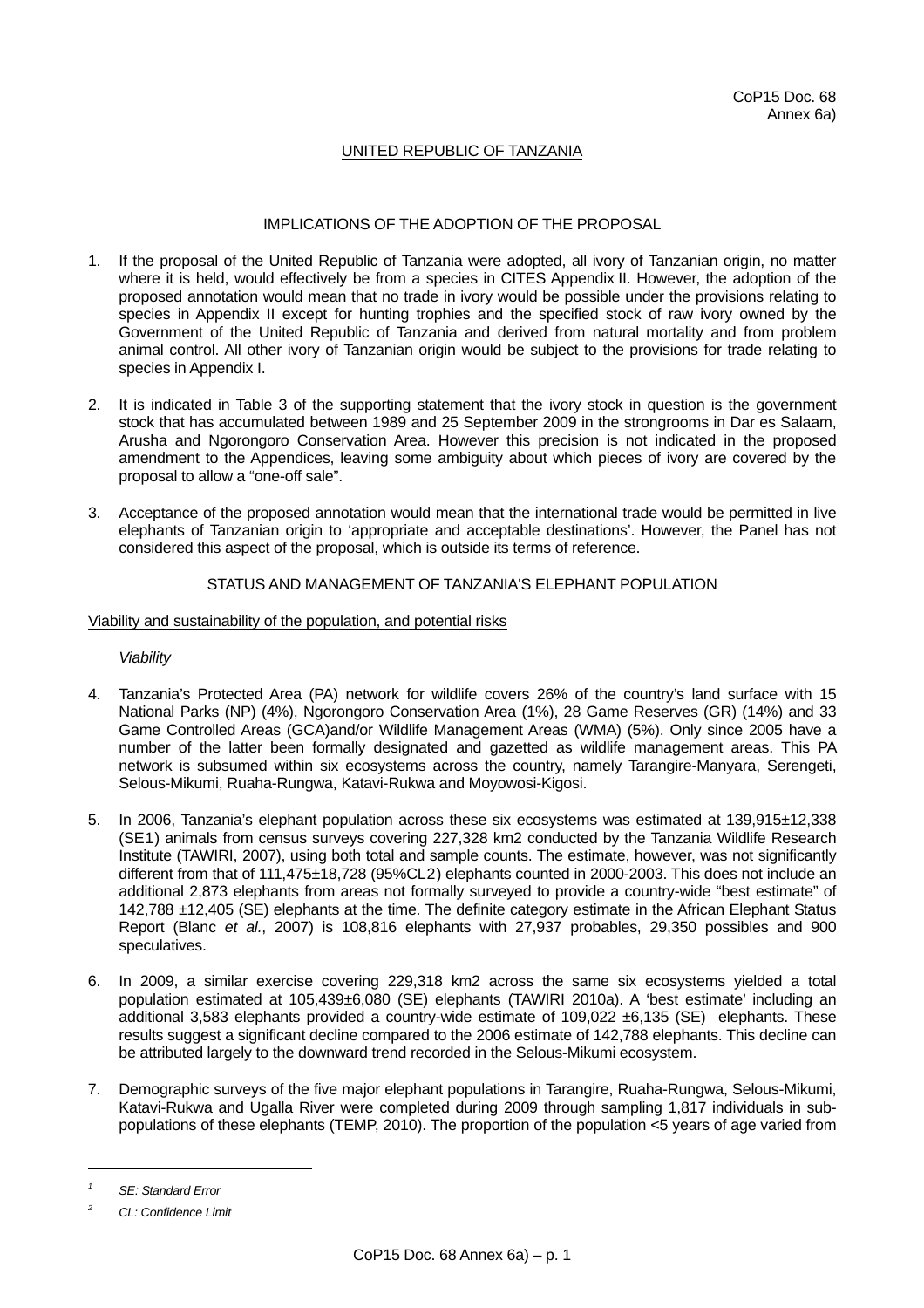# UNITED REPUBLIC OF TANZANIA

## IMPLICATIONS OF THE ADOPTION OF THE PROPOSAL

- 1. If the proposal of the United Republic of Tanzania were adopted, all ivory of Tanzanian origin, no matter where it is held, would effectively be from a species in CITES Appendix II. However, the adoption of the proposed annotation would mean that no trade in ivory would be possible under the provisions relating to species in Appendix II except for hunting trophies and the specified stock of raw ivory owned by the Government of the United Republic of Tanzania and derived from natural mortality and from problem animal control. All other ivory of Tanzanian origin would be subject to the provisions for trade relating to species in Appendix I.
- 2. It is indicated in Table 3 of the supporting statement that the ivory stock in question is the government stock that has accumulated between 1989 and 25 September 2009 in the strongrooms in Dar es Salaam, Arusha and Ngorongoro Conservation Area. However this precision is not indicated in the proposed amendment to the Appendices, leaving some ambiguity about which pieces of ivory are covered by the proposal to allow a "one-off sale".
- 3. Acceptance of the proposed annotation would mean that the international trade would be permitted in live elephants of Tanzanian origin to 'appropriate and acceptable destinations'. However, the Panel has not considered this aspect of the proposal, which is outside its terms of reference.

### STATUS AND MANAGEMENT OF TANZANIA'S ELEPHANT POPULATION

### Viability and sustainability of the population, and potential risks

### *Viability*

- 4. Tanzania's Protected Area (PA) network for wildlife covers 26% of the country's land surface with 15 National Parks (NP) (4%), Ngorongoro Conservation Area (1%), 28 Game Reserves (GR) (14%) and 33 Game Controlled Areas (GCA)and/or Wildlife Management Areas (WMA) (5%). Only since 2005 have a number of the latter been formally designated and gazetted as wildlife management areas. This PA network is subsumed within six ecosystems across the country, namely Tarangire-Manyara, Serengeti, Selous-Mikumi, Ruaha-Rungwa, Katavi-Rukwa and Moyowosi-Kigosi.
- 5. In 2006, Tanzania's elephant population across these six ecosystems was estimated at 139,915±12,338 (S[E1](#page-0-0)) animals from census surveys covering 227,328 km2 conducted by the Tanzania Wildlife Research Institute (TAWIRI, 2007), using both total and sample counts. The estimate, however, was not significantly different from that of 111,475±18,728 (95%CL[2](#page-0-1)) elephants counted in 2000-2003. This does not include an additional 2,873 elephants from areas not formally surveyed to provide a country-wide "best estimate" of 142,788 ±12,405 (SE) elephants at the time. The definite category estimate in the African Elephant Status Report (Blanc *et al.*, 2007) is 108,816 elephants with 27,937 probables, 29,350 possibles and 900 speculatives.
- 6. In 2009, a similar exercise covering 229,318 km2 across the same six ecosystems yielded a total population estimated at 105,439±6,080 (SE) elephants (TAWIRI 2010a). A 'best estimate' including an additional 3,583 elephants provided a country-wide estimate of 109,022 ±6,135 (SE) elephants. These results suggest a significant decline compared to the 2006 estimate of 142,788 elephants. This decline can be attributed largely to the downward trend recorded in the Selous-Mikumi ecosystem.
- 7. Demographic surveys of the five major elephant populations in Tarangire, Ruaha-Rungwa, Selous-Mikumi, Katavi-Rukwa and Ugalla River were completed during 2009 through sampling 1,817 individuals in subpopulations of these elephants (TEMP, 2010). The proportion of the population <5 years of age varied from

l

<span id="page-0-0"></span>*<sup>1</sup> SE: Standard Error* 

<span id="page-0-1"></span>*<sup>2</sup> CL: Confidence Limit*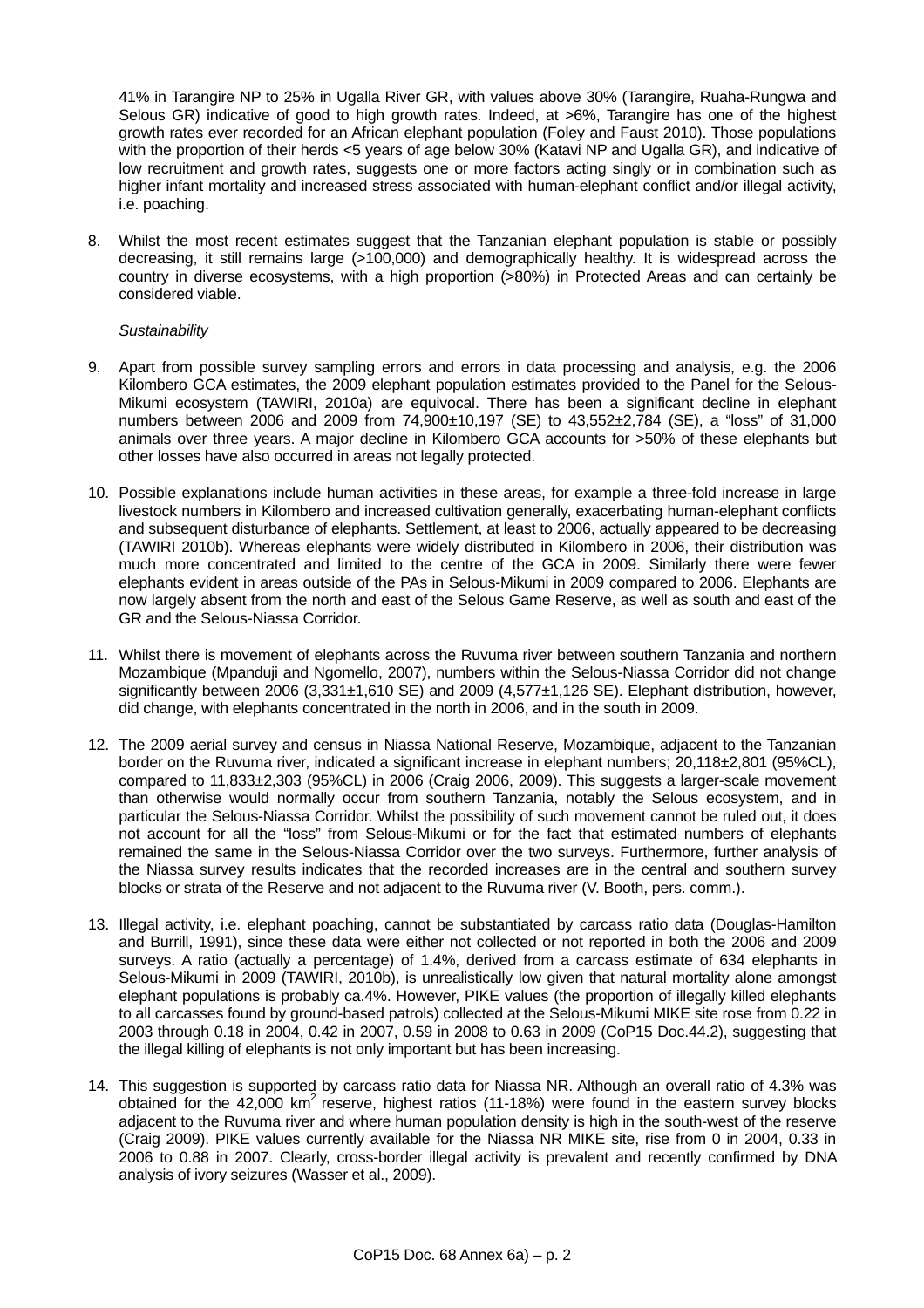41% in Tarangire NP to 25% in Ugalla River GR, with values above 30% (Tarangire, Ruaha-Rungwa and Selous GR) indicative of good to high growth rates. Indeed, at >6%, Tarangire has one of the highest growth rates ever recorded for an African elephant population (Foley and Faust 2010). Those populations with the proportion of their herds <5 years of age below 30% (Katavi NP and Ugalla GR), and indicative of low recruitment and growth rates, suggests one or more factors acting singly or in combination such as higher infant mortality and increased stress associated with human-elephant conflict and/or illegal activity, i.e. poaching.

8. Whilst the most recent estimates suggest that the Tanzanian elephant population is stable or possibly decreasing, it still remains large (>100,000) and demographically healthy. It is widespread across the country in diverse ecosystems, with a high proportion (>80%) in Protected Areas and can certainly be considered viable.

### *Sustainability*

- 9. Apart from possible survey sampling errors and errors in data processing and analysis, e.g. the 2006 Kilombero GCA estimates, the 2009 elephant population estimates provided to the Panel for the Selous-Mikumi ecosystem (TAWIRI, 2010a) are equivocal. There has been a significant decline in elephant numbers between 2006 and 2009 from 74,900±10,197 (SE) to 43,552±2,784 (SE), a "loss" of 31,000 animals over three years. A major decline in Kilombero GCA accounts for >50% of these elephants but other losses have also occurred in areas not legally protected.
- 10. Possible explanations include human activities in these areas, for example a three-fold increase in large livestock numbers in Kilombero and increased cultivation generally, exacerbating human-elephant conflicts and subsequent disturbance of elephants. Settlement, at least to 2006, actually appeared to be decreasing (TAWIRI 2010b). Whereas elephants were widely distributed in Kilombero in 2006, their distribution was much more concentrated and limited to the centre of the GCA in 2009. Similarly there were fewer elephants evident in areas outside of the PAs in Selous-Mikumi in 2009 compared to 2006. Elephants are now largely absent from the north and east of the Selous Game Reserve, as well as south and east of the GR and the Selous-Niassa Corridor.
- 11. Whilst there is movement of elephants across the Ruvuma river between southern Tanzania and northern Mozambique (Mpanduji and Ngomello, 2007), numbers within the Selous-Niassa Corridor did not change significantly between 2006 (3.331±1,610 SE) and 2009 (4.577±1,126 SE). Elephant distribution, however, did change, with elephants concentrated in the north in 2006, and in the south in 2009.
- 12. The 2009 aerial survey and census in Niassa National Reserve, Mozambique, adjacent to the Tanzanian border on the Ruvuma river, indicated a significant increase in elephant numbers; 20,118±2,801 (95%CL), compared to 11,833±2,303 (95%CL) in 2006 (Craig 2006, 2009). This suggests a larger-scale movement than otherwise would normally occur from southern Tanzania, notably the Selous ecosystem, and in particular the Selous-Niassa Corridor. Whilst the possibility of such movement cannot be ruled out, it does not account for all the "loss" from Selous-Mikumi or for the fact that estimated numbers of elephants remained the same in the Selous-Niassa Corridor over the two surveys. Furthermore, further analysis of the Niassa survey results indicates that the recorded increases are in the central and southern survey blocks or strata of the Reserve and not adjacent to the Ruvuma river (V. Booth, pers. comm.).
- 13. Illegal activity, i.e. elephant poaching, cannot be substantiated by carcass ratio data (Douglas-Hamilton and Burrill, 1991), since these data were either not collected or not reported in both the 2006 and 2009 surveys. A ratio (actually a percentage) of 1.4%, derived from a carcass estimate of 634 elephants in Selous-Mikumi in 2009 (TAWIRI, 2010b), is unrealistically low given that natural mortality alone amongst elephant populations is probably ca.4%. However, PIKE values (the proportion of illegally killed elephants to all carcasses found by ground-based patrols) collected at the Selous-Mikumi MIKE site rose from 0.22 in 2003 through 0.18 in 2004, 0.42 in 2007, 0.59 in 2008 to 0.63 in 2009 (CoP15 Doc.44.2), suggesting that the illegal killing of elephants is not only important but has been increasing.
- 14. This suggestion is supported by carcass ratio data for Niassa NR. Although an overall ratio of 4.3% was obtained for the  $42,000 \text{ km}^2$  reserve, highest ratios (11-18%) were found in the eastern survey blocks adjacent to the Ruvuma river and where human population density is high in the south-west of the reserve (Craig 2009). PIKE values currently available for the Niassa NR MIKE site, rise from 0 in 2004, 0.33 in 2006 to 0.88 in 2007. Clearly, cross-border illegal activity is prevalent and recently confirmed by DNA analysis of ivory seizures (Wasser et al., 2009).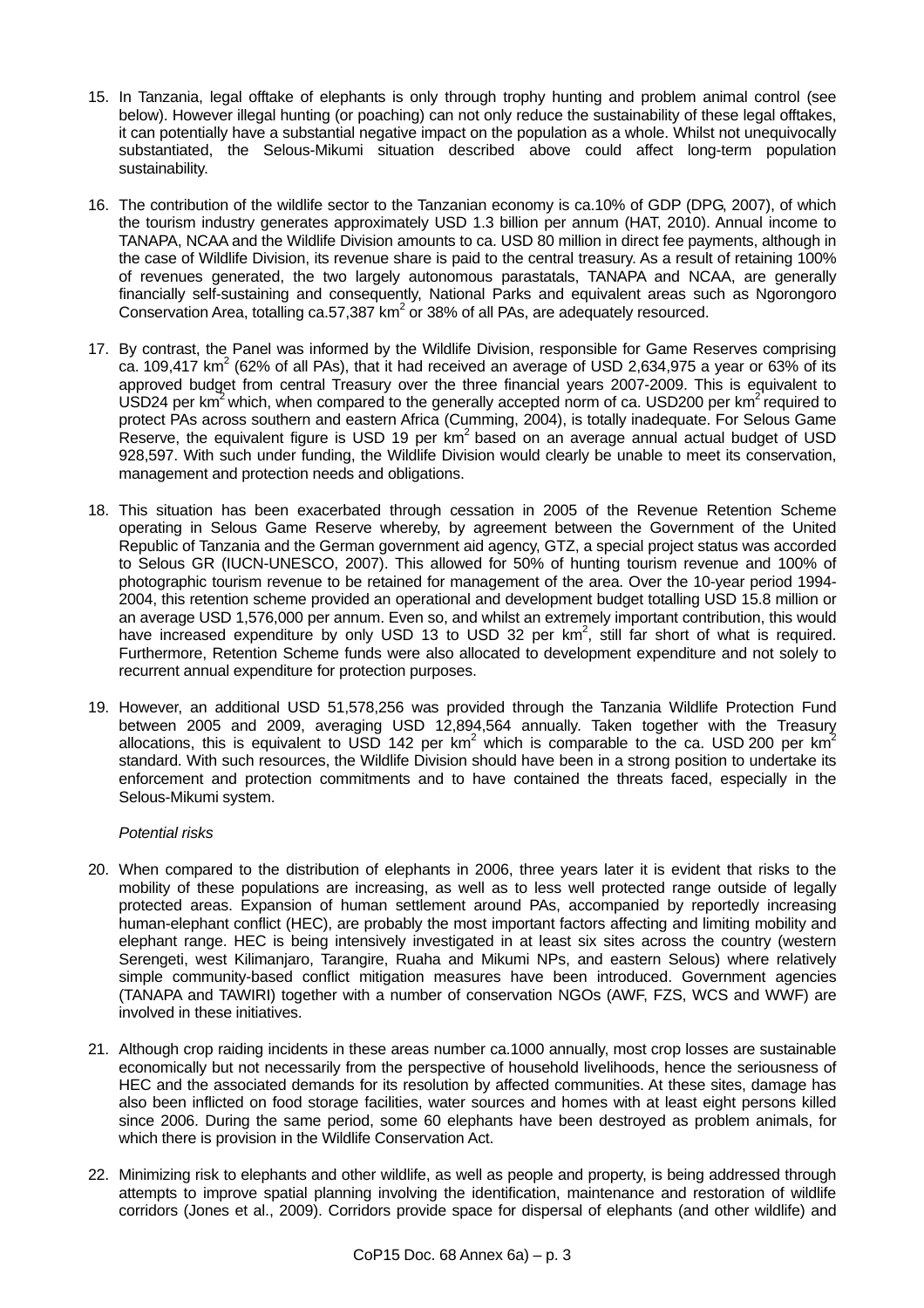- 15. In Tanzania, legal offtake of elephants is only through trophy hunting and problem animal control (see below). However illegal hunting (or poaching) can not only reduce the sustainability of these legal offtakes, it can potentially have a substantial negative impact on the population as a whole. Whilst not unequivocally substantiated, the Selous-Mikumi situation described above could affect long-term population sustainability.
- 16. The contribution of the wildlife sector to the Tanzanian economy is ca.10% of GDP (DPG, 2007), of which the tourism industry generates approximately USD 1.3 billion per annum (HAT, 2010). Annual income to TANAPA, NCAA and the Wildlife Division amounts to ca. USD 80 million in direct fee payments, although in the case of Wildlife Division, its revenue share is paid to the central treasury. As a result of retaining 100% of revenues generated, the two largely autonomous parastatals, TANAPA and NCAA, are generally financially self-sustaining and consequently, National Parks and equivalent areas such as Ngorongoro Conservation Area, totalling ca.57,387  $km^2$  or 38% of all PAs, are adequately resourced.
- 17. By contrast, the Panel was informed by the Wildlife Division, responsible for Game Reserves comprising ca. 109,417 km<sup>2</sup> (62% of all PAs), that it had received an average of USD 2,634,975 a year or 63% of its approved budget from central Treasury over the three financial years 2007-2009. This is equivalent to USD24 per km<sup>2</sup> which, when compared to the generally accepted norm of ca. USD200 per km<sup>2</sup> required to protect PAs across southern and eastern Africa (Cumming, 2004), is totally inadequate. For Selous Game Reserve, the equivalent figure is USD 19 per  $km^2$  based on an average annual actual budget of USD 928,597. With such under funding, the Wildlife Division would clearly be unable to meet its conservation, management and protection needs and obligations.
- 18. This situation has been exacerbated through cessation in 2005 of the Revenue Retention Scheme operating in Selous Game Reserve whereby, by agreement between the Government of the United Republic of Tanzania and the German government aid agency, GTZ, a special project status was accorded to Selous GR (IUCN-UNESCO, 2007). This allowed for 50% of hunting tourism revenue and 100% of photographic tourism revenue to be retained for management of the area. Over the 10-year period 1994- 2004, this retention scheme provided an operational and development budget totalling USD 15.8 million or an average USD 1,576,000 per annum. Even so, and whilst an extremely important contribution, this would have increased expenditure by only USD 13 to USD 32 per  $km^2$ , still far short of what is required. Furthermore, Retention Scheme funds were also allocated to development expenditure and not solely to recurrent annual expenditure for protection purposes.
- 19. However, an additional USD 51,578,256 was provided through the Tanzania Wildlife Protection Fund between 2005 and 2009, averaging USD 12,894,564 annually. Taken together with the Treasury allocations, this is equivalent to USD 142 per km<sup>2</sup> which is comparable to the ca. USD 200 per km<sup>2</sup> standard. With such resources, the Wildlife Division should have been in a strong position to undertake its enforcement and protection commitments and to have contained the threats faced, especially in the Selous-Mikumi system.

### *Potential risks*

- 20. When compared to the distribution of elephants in 2006, three years later it is evident that risks to the mobility of these populations are increasing, as well as to less well protected range outside of legally protected areas. Expansion of human settlement around PAs, accompanied by reportedly increasing human-elephant conflict (HEC), are probably the most important factors affecting and limiting mobility and elephant range. HEC is being intensively investigated in at least six sites across the country (western Serengeti, west Kilimanjaro, Tarangire, Ruaha and Mikumi NPs, and eastern Selous) where relatively simple community-based conflict mitigation measures have been introduced. Government agencies (TANAPA and TAWIRI) together with a number of conservation NGOs (AWF, FZS, WCS and WWF) are involved in these initiatives.
- 21. Although crop raiding incidents in these areas number ca.1000 annually, most crop losses are sustainable economically but not necessarily from the perspective of household livelihoods, hence the seriousness of HEC and the associated demands for its resolution by affected communities. At these sites, damage has also been inflicted on food storage facilities, water sources and homes with at least eight persons killed since 2006. During the same period, some 60 elephants have been destroyed as problem animals, for which there is provision in the Wildlife Conservation Act.
- 22. Minimizing risk to elephants and other wildlife, as well as people and property, is being addressed through attempts to improve spatial planning involving the identification, maintenance and restoration of wildlife corridors (Jones et al., 2009). Corridors provide space for dispersal of elephants (and other wildlife) and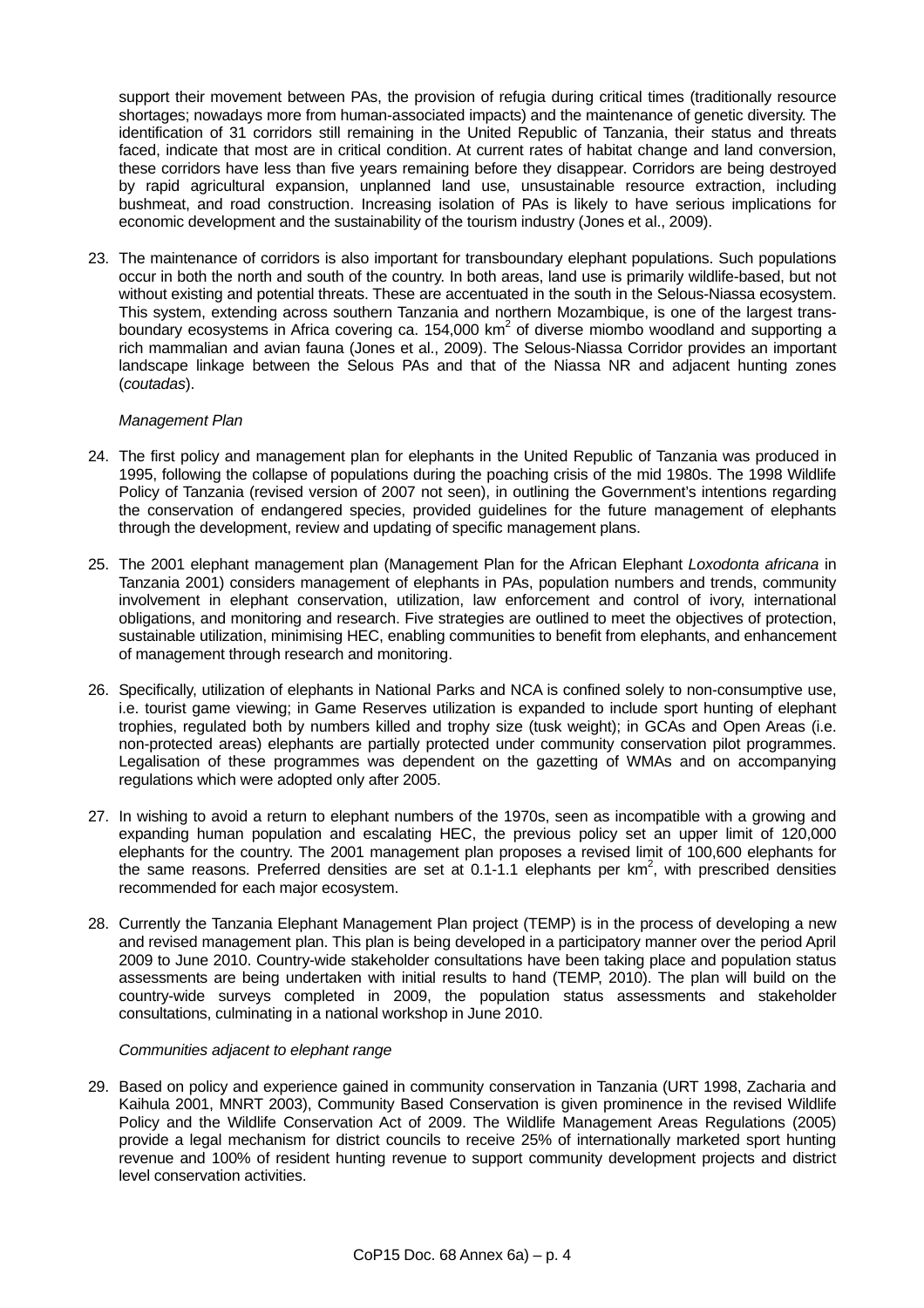support their movement between PAs, the provision of refugia during critical times (traditionally resource shortages; nowadays more from human-associated impacts) and the maintenance of genetic diversity. The identification of 31 corridors still remaining in the United Republic of Tanzania, their status and threats faced, indicate that most are in critical condition. At current rates of habitat change and land conversion, these corridors have less than five years remaining before they disappear. Corridors are being destroyed by rapid agricultural expansion, unplanned land use, unsustainable resource extraction, including bushmeat, and road construction. Increasing isolation of PAs is likely to have serious implications for economic development and the sustainability of the tourism industry (Jones et al., 2009).

23. The maintenance of corridors is also important for transboundary elephant populations. Such populations occur in both the north and south of the country. In both areas, land use is primarily wildlife-based, but not without existing and potential threats. These are accentuated in the south in the Selous-Niassa ecosystem. This system, extending across southern Tanzania and northern Mozambique, is one of the largest transboundary ecosystems in Africa covering ca. 154,000 km<sup>2</sup> of diverse miombo woodland and supporting a rich mammalian and avian fauna (Jones et al., 2009). The Selous-Niassa Corridor provides an important landscape linkage between the Selous PAs and that of the Niassa NR and adjacent hunting zones (*coutadas*).

## *Management Plan*

- 24. The first policy and management plan for elephants in the United Republic of Tanzania was produced in 1995, following the collapse of populations during the poaching crisis of the mid 1980s. The 1998 Wildlife Policy of Tanzania (revised version of 2007 not seen), in outlining the Government's intentions regarding the conservation of endangered species, provided guidelines for the future management of elephants through the development, review and updating of specific management plans.
- 25. The 2001 elephant management plan (Management Plan for the African Elephant *Loxodonta africana* in Tanzania 2001) considers management of elephants in PAs, population numbers and trends, community involvement in elephant conservation, utilization, law enforcement and control of ivory, international obligations, and monitoring and research. Five strategies are outlined to meet the objectives of protection, sustainable utilization, minimising HEC, enabling communities to benefit from elephants, and enhancement of management through research and monitoring.
- 26. Specifically, utilization of elephants in National Parks and NCA is confined solely to non-consumptive use, i.e. tourist game viewing; in Game Reserves utilization is expanded to include sport hunting of elephant trophies, regulated both by numbers killed and trophy size (tusk weight); in GCAs and Open Areas (i.e. non-protected areas) elephants are partially protected under community conservation pilot programmes. Legalisation of these programmes was dependent on the gazetting of WMAs and on accompanying regulations which were adopted only after 2005.
- 27. In wishing to avoid a return to elephant numbers of the 1970s, seen as incompatible with a growing and expanding human population and escalating HEC, the previous policy set an upper limit of 120,000 elephants for the country. The 2001 management plan proposes a revised limit of 100,600 elephants for the same reasons. Preferred densities are set at 0.1-1.1 elephants per  $km^2$ , with prescribed densities recommended for each major ecosystem.
- 28. Currently the Tanzania Elephant Management Plan project (TEMP) is in the process of developing a new and revised management plan. This plan is being developed in a participatory manner over the period April 2009 to June 2010. Country-wide stakeholder consultations have been taking place and population status assessments are being undertaken with initial results to hand (TEMP, 2010). The plan will build on the country-wide surveys completed in 2009, the population status assessments and stakeholder consultations, culminating in a national workshop in June 2010.

### *Communities adjacent to elephant range*

29. Based on policy and experience gained in community conservation in Tanzania (URT 1998, Zacharia and Kaihula 2001, MNRT 2003), Community Based Conservation is given prominence in the revised Wildlife Policy and the Wildlife Conservation Act of 2009. The Wildlife Management Areas Regulations (2005) provide a legal mechanism for district councils to receive 25% of internationally marketed sport hunting revenue and 100% of resident hunting revenue to support community development projects and district level conservation activities.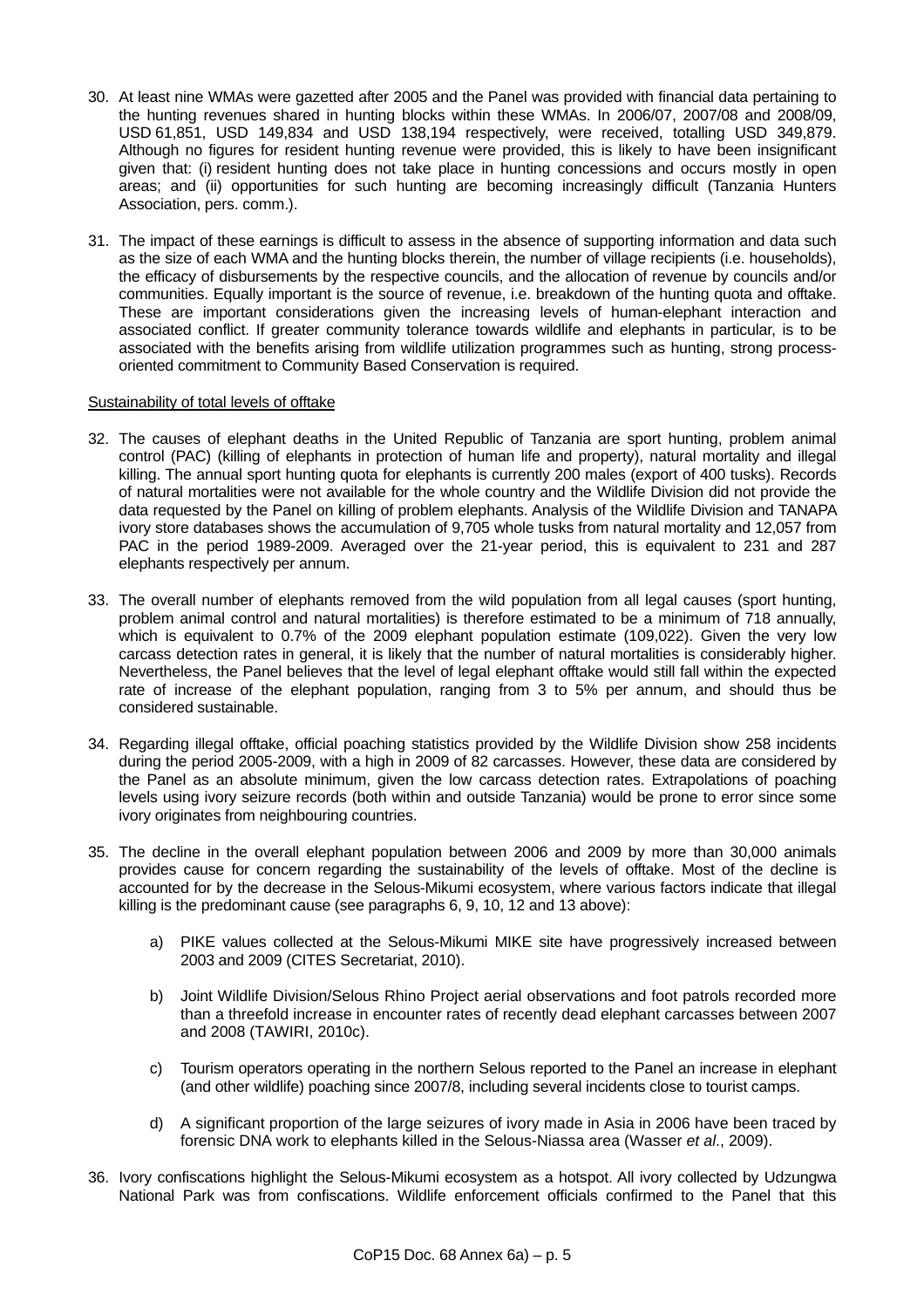- 30. At least nine WMAs were gazetted after 2005 and the Panel was provided with financial data pertaining to the hunting revenues shared in hunting blocks within these WMAs. In 2006/07, 2007/08 and 2008/09, USD 61,851, USD 149,834 and USD 138,194 respectively, were received, totalling USD 349,879. Although no figures for resident hunting revenue were provided, this is likely to have been insignificant given that: (i) resident hunting does not take place in hunting concessions and occurs mostly in open areas; and (ii) opportunities for such hunting are becoming increasingly difficult (Tanzania Hunters Association, pers. comm.).
- 31. The impact of these earnings is difficult to assess in the absence of supporting information and data such as the size of each WMA and the hunting blocks therein, the number of village recipients (i.e. households), the efficacy of disbursements by the respective councils, and the allocation of revenue by councils and/or communities. Equally important is the source of revenue, i.e. breakdown of the hunting quota and offtake. These are important considerations given the increasing levels of human-elephant interaction and associated conflict. If greater community tolerance towards wildlife and elephants in particular, is to be associated with the benefits arising from wildlife utilization programmes such as hunting, strong processoriented commitment to Community Based Conservation is required.

### Sustainability of total levels of offtake

- 32. The causes of elephant deaths in the United Republic of Tanzania are sport hunting, problem animal control (PAC) (killing of elephants in protection of human life and property), natural mortality and illegal killing. The annual sport hunting quota for elephants is currently 200 males (export of 400 tusks). Records of natural mortalities were not available for the whole country and the Wildlife Division did not provide the data requested by the Panel on killing of problem elephants. Analysis of the Wildlife Division and TANAPA ivory store databases shows the accumulation of 9,705 whole tusks from natural mortality and 12,057 from PAC in the period 1989-2009. Averaged over the 21-year period, this is equivalent to 231 and 287 elephants respectively per annum.
- 33. The overall number of elephants removed from the wild population from all legal causes (sport hunting, problem animal control and natural mortalities) is therefore estimated to be a minimum of 718 annually, which is equivalent to 0.7% of the 2009 elephant population estimate (109,022). Given the very low carcass detection rates in general, it is likely that the number of natural mortalities is considerably higher. Nevertheless, the Panel believes that the level of legal elephant offtake would still fall within the expected rate of increase of the elephant population, ranging from 3 to 5% per annum, and should thus be considered sustainable.
- 34. Regarding illegal offtake, official poaching statistics provided by the Wildlife Division show 258 incidents during the period 2005-2009, with a high in 2009 of 82 carcasses. However, these data are considered by the Panel as an absolute minimum, given the low carcass detection rates. Extrapolations of poaching levels using ivory seizure records (both within and outside Tanzania) would be prone to error since some ivory originates from neighbouring countries.
- 35. The decline in the overall elephant population between 2006 and 2009 by more than 30,000 animals provides cause for concern regarding the sustainability of the levels of offtake. Most of the decline is accounted for by the decrease in the Selous-Mikumi ecosystem, where various factors indicate that illegal killing is the predominant cause (see paragraphs 6, 9, 10, 12 and 13 above):
	- a) PIKE values collected at the Selous-Mikumi MIKE site have progressively increased between 2003 and 2009 (CITES Secretariat, 2010).
	- b) Joint Wildlife Division/Selous Rhino Project aerial observations and foot patrols recorded more than a threefold increase in encounter rates of recently dead elephant carcasses between 2007 and 2008 (TAWIRI, 2010c).
	- c) Tourism operators operating in the northern Selous reported to the Panel an increase in elephant (and other wildlife) poaching since 2007/8, including several incidents close to tourist camps.
	- d) A significant proportion of the large seizures of ivory made in Asia in 2006 have been traced by forensic DNA work to elephants killed in the Selous-Niassa area (Wasser *et al*., 2009).
- 36. Ivory confiscations highlight the Selous-Mikumi ecosystem as a hotspot. All ivory collected by Udzungwa National Park was from confiscations. Wildlife enforcement officials confirmed to the Panel that this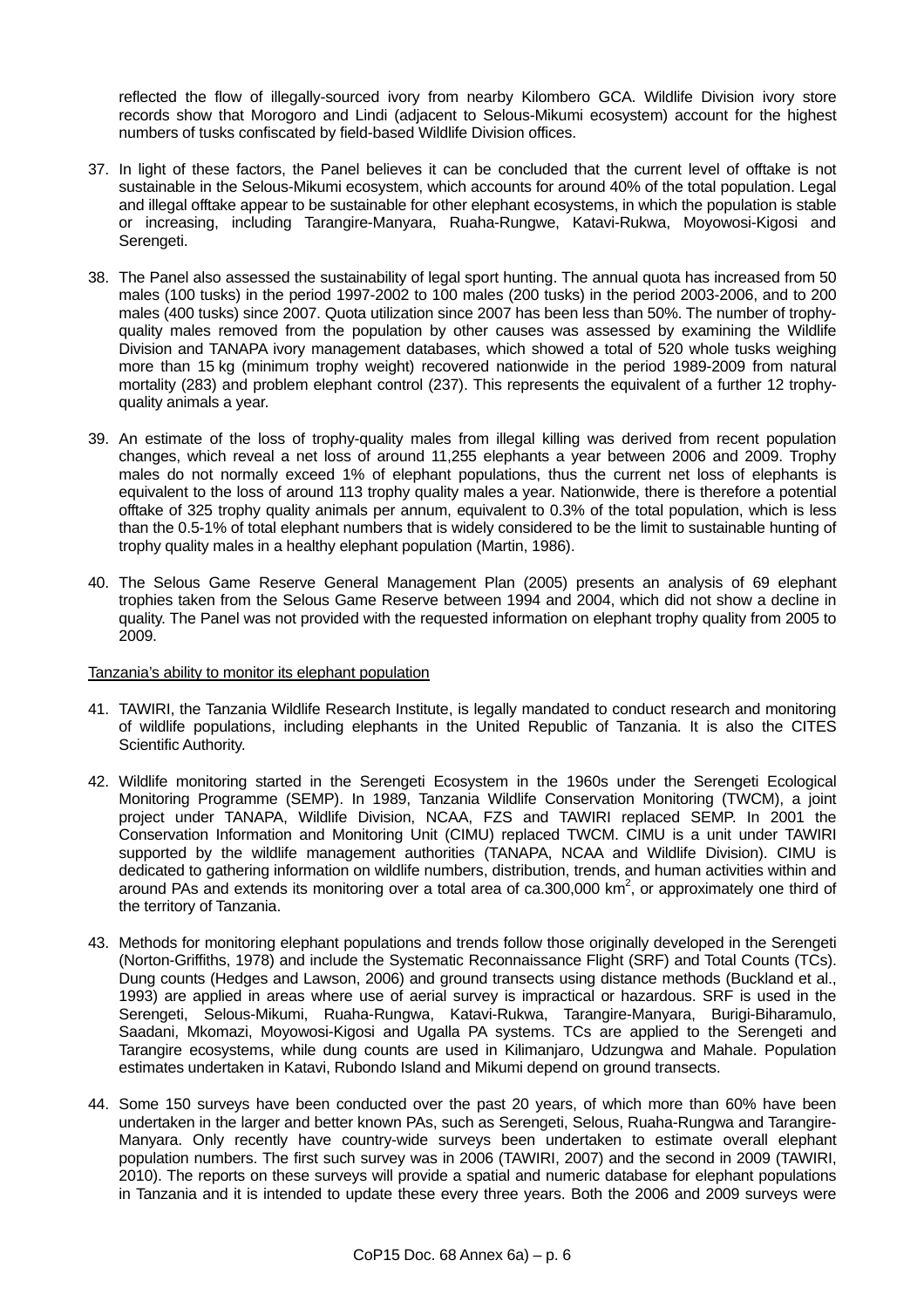reflected the flow of illegally-sourced ivory from nearby Kilombero GCA. Wildlife Division ivory store records show that Morogoro and Lindi (adjacent to Selous-Mikumi ecosystem) account for the highest numbers of tusks confiscated by field-based Wildlife Division offices.

- 37. In light of these factors, the Panel believes it can be concluded that the current level of offtake is not sustainable in the Selous-Mikumi ecosystem, which accounts for around 40% of the total population. Legal and illegal offtake appear to be sustainable for other elephant ecosystems, in which the population is stable or increasing, including Tarangire-Manyara, Ruaha-Rungwe, Katavi-Rukwa, Moyowosi-Kigosi and Serengeti.
- 38. The Panel also assessed the sustainability of legal sport hunting. The annual quota has increased from 50 males (100 tusks) in the period 1997-2002 to 100 males (200 tusks) in the period 2003-2006, and to 200 males (400 tusks) since 2007. Quota utilization since 2007 has been less than 50%. The number of trophyquality males removed from the population by other causes was assessed by examining the Wildlife Division and TANAPA ivory management databases, which showed a total of 520 whole tusks weighing more than 15 kg (minimum trophy weight) recovered nationwide in the period 1989-2009 from natural mortality (283) and problem elephant control (237). This represents the equivalent of a further 12 trophyquality animals a year.
- 39. An estimate of the loss of trophy-quality males from illegal killing was derived from recent population changes, which reveal a net loss of around 11,255 elephants a year between 2006 and 2009. Trophy males do not normally exceed 1% of elephant populations, thus the current net loss of elephants is equivalent to the loss of around 113 trophy quality males a year. Nationwide, there is therefore a potential offtake of 325 trophy quality animals per annum, equivalent to 0.3% of the total population, which is less than the 0.5-1% of total elephant numbers that is widely considered to be the limit to sustainable hunting of trophy quality males in a healthy elephant population (Martin, 1986).
- 40. The Selous Game Reserve General Management Plan (2005) presents an analysis of 69 elephant trophies taken from the Selous Game Reserve between 1994 and 2004, which did not show a decline in quality. The Panel was not provided with the requested information on elephant trophy quality from 2005 to 2009.

### Tanzania's ability to monitor its elephant population

- 41. TAWIRI, the Tanzania Wildlife Research Institute, is legally mandated to conduct research and monitoring of wildlife populations, including elephants in the United Republic of Tanzania. It is also the CITES Scientific Authority.
- 42. Wildlife monitoring started in the Serengeti Ecosystem in the 1960s under the Serengeti Ecological Monitoring Programme (SEMP). In 1989, Tanzania Wildlife Conservation Monitoring (TWCM), a joint project under TANAPA, Wildlife Division, NCAA, FZS and TAWIRI replaced SEMP. In 2001 the Conservation Information and Monitoring Unit (CIMU) replaced TWCM. CIMU is a unit under TAWIRI supported by the wildlife management authorities (TANAPA, NCAA and Wildlife Division). CIMU is dedicated to gathering information on wildlife numbers, distribution, trends, and human activities within and around PAs and extends its monitoring over a total area of ca.300,000  $km^2$ , or approximately one third of the territory of Tanzania.
- 43. Methods for monitoring elephant populations and trends follow those originally developed in the Serengeti (Norton-Griffiths, 1978) and include the Systematic Reconnaissance Flight (SRF) and Total Counts (TCs). Dung counts (Hedges and Lawson, 2006) and ground transects using distance methods (Buckland et al., 1993) are applied in areas where use of aerial survey is impractical or hazardous. SRF is used in the Serengeti, Selous-Mikumi, Ruaha-Rungwa, Katavi-Rukwa, Tarangire-Manyara, Burigi-Biharamulo, Saadani, Mkomazi, Moyowosi-Kigosi and Ugalla PA systems. TCs are applied to the Serengeti and Tarangire ecosystems, while dung counts are used in Kilimanjaro, Udzungwa and Mahale. Population estimates undertaken in Katavi, Rubondo Island and Mikumi depend on ground transects.
- 44. Some 150 surveys have been conducted over the past 20 years, of which more than 60% have been undertaken in the larger and better known PAs, such as Serengeti, Selous, Ruaha-Rungwa and Tarangire-Manyara. Only recently have country-wide surveys been undertaken to estimate overall elephant population numbers. The first such survey was in 2006 (TAWIRI, 2007) and the second in 2009 (TAWIRI, 2010). The reports on these surveys will provide a spatial and numeric database for elephant populations in Tanzania and it is intended to update these every three years. Both the 2006 and 2009 surveys were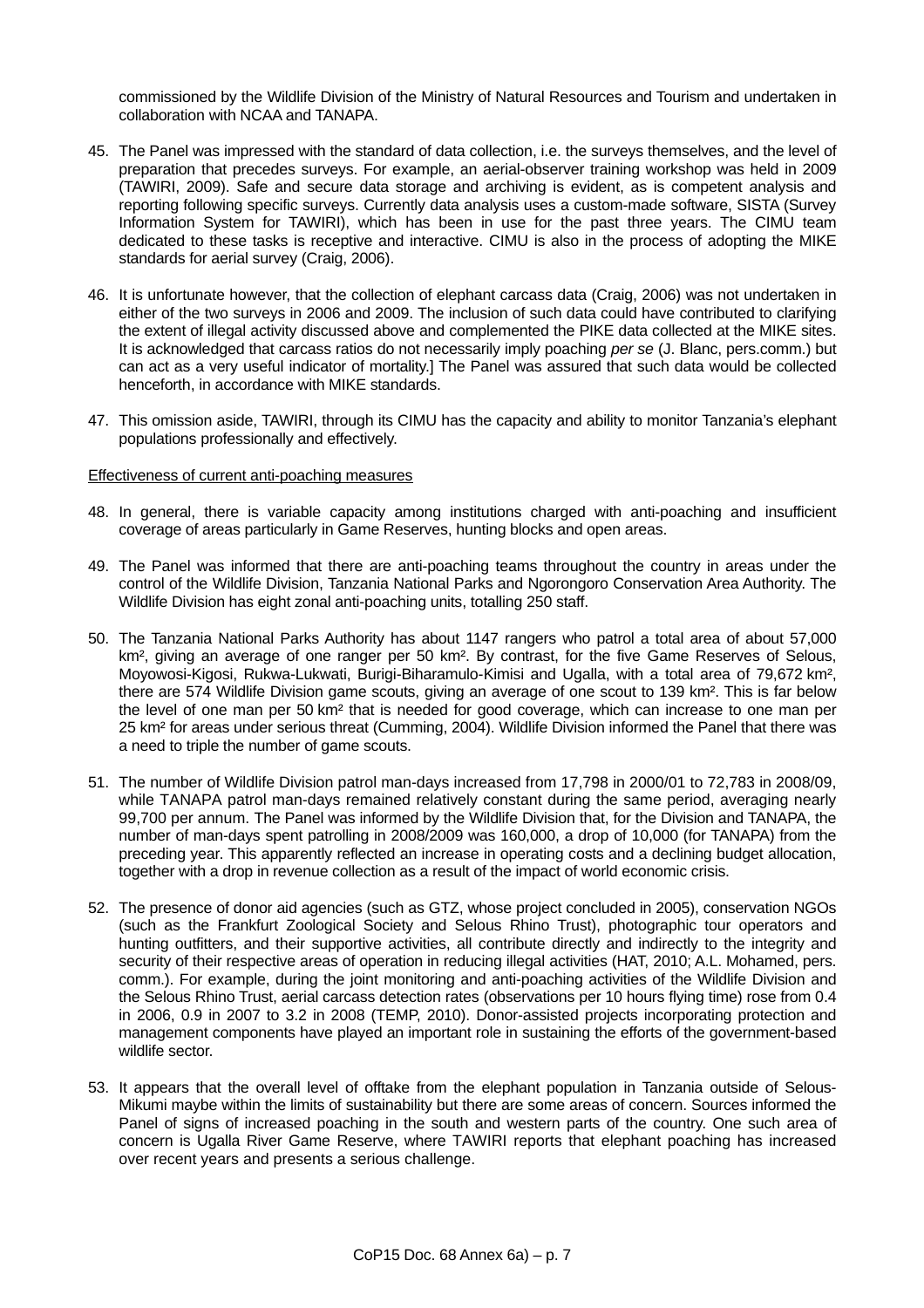commissioned by the Wildlife Division of the Ministry of Natural Resources and Tourism and undertaken in collaboration with NCAA and TANAPA.

- 45. The Panel was impressed with the standard of data collection, i.e. the surveys themselves, and the level of preparation that precedes surveys. For example, an aerial-observer training workshop was held in 2009 (TAWIRI, 2009). Safe and secure data storage and archiving is evident, as is competent analysis and reporting following specific surveys. Currently data analysis uses a custom-made software, SISTA (Survey Information System for TAWIRI), which has been in use for the past three years. The CIMU team dedicated to these tasks is receptive and interactive. CIMU is also in the process of adopting the MIKE standards for aerial survey (Craig, 2006).
- 46. It is unfortunate however, that the collection of elephant carcass data (Craig, 2006) was not undertaken in either of the two surveys in 2006 and 2009. The inclusion of such data could have contributed to clarifying the extent of illegal activity discussed above and complemented the PIKE data collected at the MIKE sites. It is acknowledged that carcass ratios do not necessarily imply poaching *per se* (J. Blanc, pers.comm.) but can act as a very useful indicator of mortality.] The Panel was assured that such data would be collected henceforth, in accordance with MIKE standards.
- 47. This omission aside, TAWIRI, through its CIMU has the capacity and ability to monitor Tanzania's elephant populations professionally and effectively.

#### Effectiveness of current anti-poaching measures

- 48. In general, there is variable capacity among institutions charged with anti-poaching and insufficient coverage of areas particularly in Game Reserves, hunting blocks and open areas.
- 49. The Panel was informed that there are anti-poaching teams throughout the country in areas under the control of the Wildlife Division, Tanzania National Parks and Ngorongoro Conservation Area Authority. The Wildlife Division has eight zonal anti-poaching units, totalling 250 staff.
- 50. The Tanzania National Parks Authority has about 1147 rangers who patrol a total area of about 57,000 km<sup>2</sup>, giving an average of one ranger per 50 km<sup>2</sup>. By contrast, for the five Game Reserves of Selous, Moyowosi-Kigosi, Rukwa-Lukwati, Burigi-Biharamulo-Kimisi and Ugalla, with a total area of 79,672 km², there are 574 Wildlife Division game scouts, giving an average of one scout to 139 km². This is far below the level of one man per 50 km² that is needed for good coverage, which can increase to one man per 25 km² for areas under serious threat (Cumming, 2004). Wildlife Division informed the Panel that there was a need to triple the number of game scouts.
- 51. The number of Wildlife Division patrol man-days increased from 17,798 in 2000/01 to 72,783 in 2008/09, while TANAPA patrol man-days remained relatively constant during the same period, averaging nearly 99,700 per annum. The Panel was informed by the Wildlife Division that, for the Division and TANAPA, the number of man-days spent patrolling in 2008/2009 was 160,000, a drop of 10,000 (for TANAPA) from the preceding year. This apparently reflected an increase in operating costs and a declining budget allocation, together with a drop in revenue collection as a result of the impact of world economic crisis.
- 52. The presence of donor aid agencies (such as GTZ, whose project concluded in 2005), conservation NGOs (such as the Frankfurt Zoological Society and Selous Rhino Trust), photographic tour operators and hunting outfitters, and their supportive activities, all contribute directly and indirectly to the integrity and security of their respective areas of operation in reducing illegal activities (HAT, 2010; A.L. Mohamed, pers. comm.). For example, during the joint monitoring and anti-poaching activities of the Wildlife Division and the Selous Rhino Trust, aerial carcass detection rates (observations per 10 hours flying time) rose from 0.4 in 2006, 0.9 in 2007 to 3.2 in 2008 (TEMP, 2010). Donor-assisted projects incorporating protection and management components have played an important role in sustaining the efforts of the government-based wildlife sector.
- 53. It appears that the overall level of offtake from the elephant population in Tanzania outside of Selous-Mikumi maybe within the limits of sustainability but there are some areas of concern. Sources informed the Panel of signs of increased poaching in the south and western parts of the country. One such area of concern is Ugalla River Game Reserve, where TAWIRI reports that elephant poaching has increased over recent years and presents a serious challenge.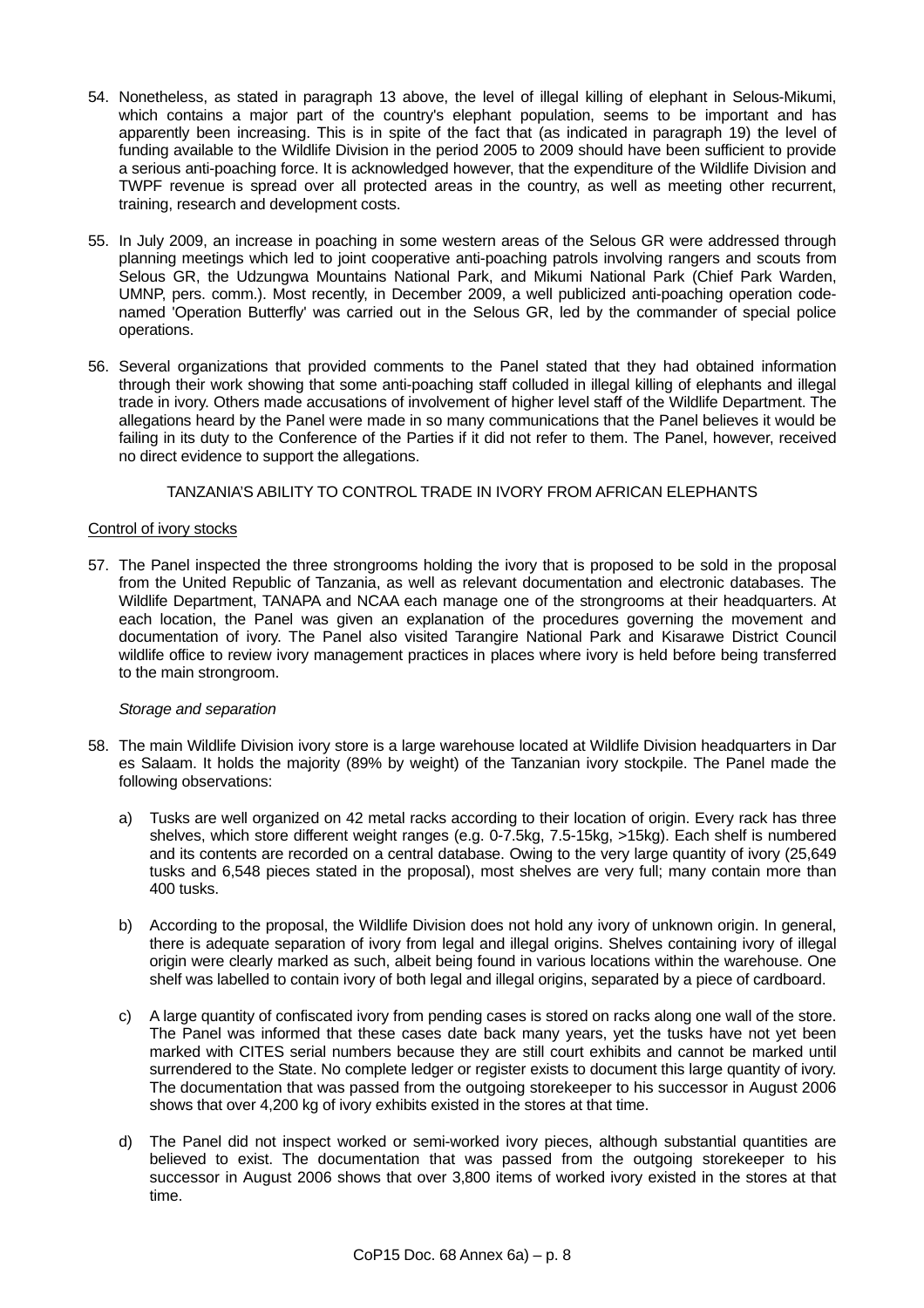- 54. Nonetheless, as stated in paragraph 13 above, the level of illegal killing of elephant in Selous-Mikumi, which contains a major part of the country's elephant population, seems to be important and has apparently been increasing. This is in spite of the fact that (as indicated in paragraph 19) the level of funding available to the Wildlife Division in the period 2005 to 2009 should have been sufficient to provide a serious anti-poaching force. It is acknowledged however, that the expenditure of the Wildlife Division and TWPF revenue is spread over all protected areas in the country, as well as meeting other recurrent, training, research and development costs.
- 55. In July 2009, an increase in poaching in some western areas of the Selous GR were addressed through planning meetings which led to joint cooperative anti-poaching patrols involving rangers and scouts from Selous GR, the Udzungwa Mountains National Park, and Mikumi National Park (Chief Park Warden, UMNP, pers. comm.). Most recently, in December 2009, a well publicized anti-poaching operation codenamed 'Operation Butterfly' was carried out in the Selous GR, led by the commander of special police operations.
- 56. Several organizations that provided comments to the Panel stated that they had obtained information through their work showing that some anti-poaching staff colluded in illegal killing of elephants and illegal trade in ivory. Others made accusations of involvement of higher level staff of the Wildlife Department. The allegations heard by the Panel were made in so many communications that the Panel believes it would be failing in its duty to the Conference of the Parties if it did not refer to them. The Panel, however, received no direct evidence to support the allegations.

TANZANIA'S ABILITY TO CONTROL TRADE IN IVORY FROM AFRICAN ELEPHANTS

## Control of ivory stocks

57. The Panel inspected the three strongrooms holding the ivory that is proposed to be sold in the proposal from the United Republic of Tanzania, as well as relevant documentation and electronic databases. The Wildlife Department, TANAPA and NCAA each manage one of the strongrooms at their headquarters. At each location, the Panel was given an explanation of the procedures governing the movement and documentation of ivory. The Panel also visited Tarangire National Park and Kisarawe District Council wildlife office to review ivory management practices in places where ivory is held before being transferred to the main strongroom.

### *Storage and separation*

- 58. The main Wildlife Division ivory store is a large warehouse located at Wildlife Division headquarters in Dar es Salaam. It holds the majority (89% by weight) of the Tanzanian ivory stockpile. The Panel made the following observations:
	- a) Tusks are well organized on 42 metal racks according to their location of origin. Every rack has three shelves, which store different weight ranges (e.g. 0-7.5kg, 7.5-15kg, >15kg). Each shelf is numbered and its contents are recorded on a central database. Owing to the very large quantity of ivory (25,649 tusks and 6,548 pieces stated in the proposal), most shelves are very full; many contain more than 400 tusks.
	- b) According to the proposal, the Wildlife Division does not hold any ivory of unknown origin. In general, there is adequate separation of ivory from legal and illegal origins. Shelves containing ivory of illegal origin were clearly marked as such, albeit being found in various locations within the warehouse. One shelf was labelled to contain ivory of both legal and illegal origins, separated by a piece of cardboard.
	- c) A large quantity of confiscated ivory from pending cases is stored on racks along one wall of the store. The Panel was informed that these cases date back many years, yet the tusks have not yet been marked with CITES serial numbers because they are still court exhibits and cannot be marked until surrendered to the State. No complete ledger or register exists to document this large quantity of ivory. The documentation that was passed from the outgoing storekeeper to his successor in August 2006 shows that over 4,200 kg of ivory exhibits existed in the stores at that time.
	- d) The Panel did not inspect worked or semi-worked ivory pieces, although substantial quantities are believed to exist. The documentation that was passed from the outgoing storekeeper to his successor in August 2006 shows that over 3,800 items of worked ivory existed in the stores at that time.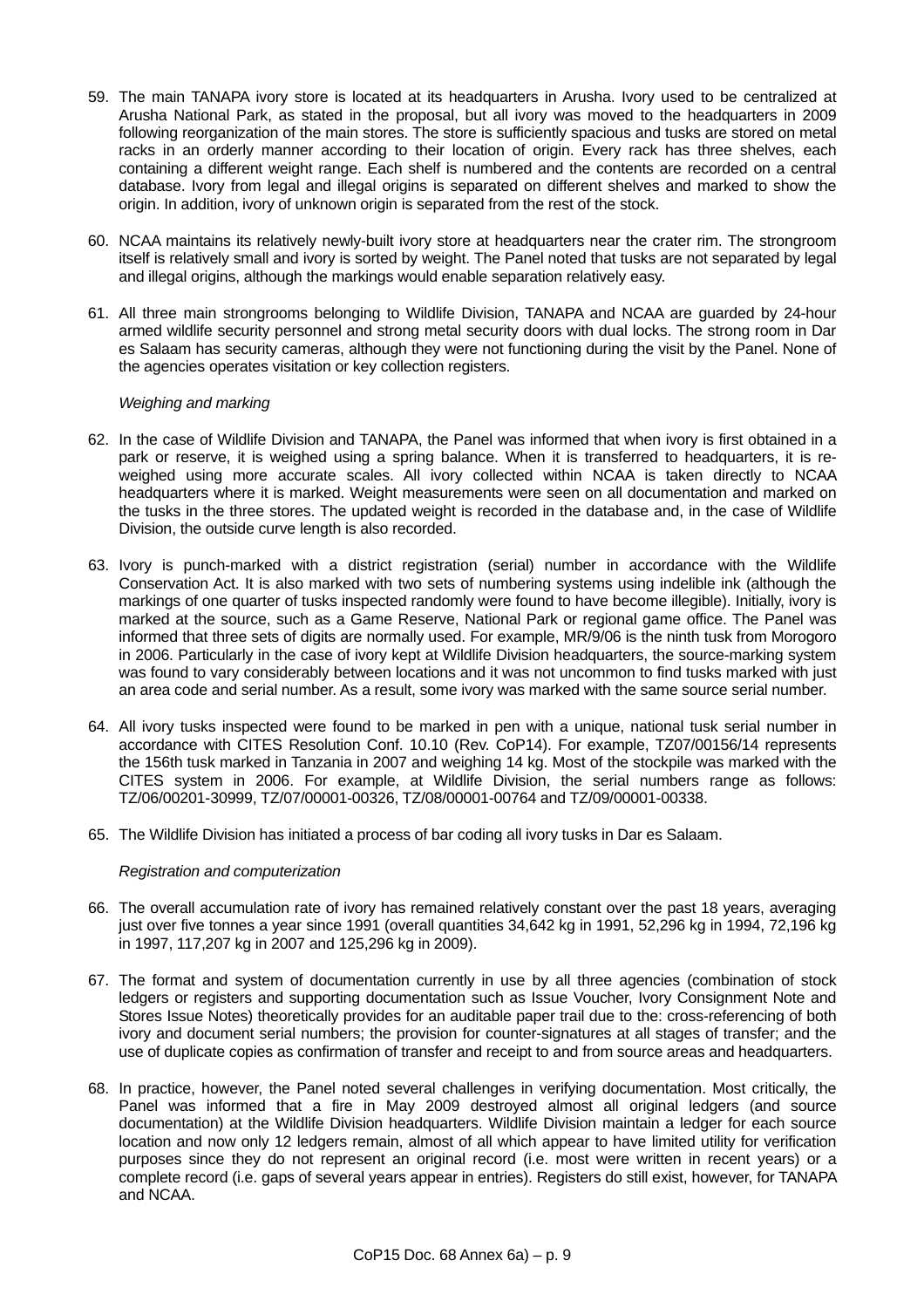- 59. The main TANAPA ivory store is located at its headquarters in Arusha. Ivory used to be centralized at Arusha National Park, as stated in the proposal, but all ivory was moved to the headquarters in 2009 following reorganization of the main stores. The store is sufficiently spacious and tusks are stored on metal racks in an orderly manner according to their location of origin. Every rack has three shelves, each containing a different weight range. Each shelf is numbered and the contents are recorded on a central database. Ivory from legal and illegal origins is separated on different shelves and marked to show the origin. In addition, ivory of unknown origin is separated from the rest of the stock.
- 60. NCAA maintains its relatively newly-built ivory store at headquarters near the crater rim. The strongroom itself is relatively small and ivory is sorted by weight. The Panel noted that tusks are not separated by legal and illegal origins, although the markings would enable separation relatively easy.
- 61. All three main strongrooms belonging to Wildlife Division, TANAPA and NCAA are guarded by 24-hour armed wildlife security personnel and strong metal security doors with dual locks. The strong room in Dar es Salaam has security cameras, although they were not functioning during the visit by the Panel. None of the agencies operates visitation or key collection registers.

## *Weighing and marking*

- 62. In the case of Wildlife Division and TANAPA, the Panel was informed that when ivory is first obtained in a park or reserve, it is weighed using a spring balance. When it is transferred to headquarters, it is reweighed using more accurate scales. All ivory collected within NCAA is taken directly to NCAA headquarters where it is marked. Weight measurements were seen on all documentation and marked on the tusks in the three stores. The updated weight is recorded in the database and, in the case of Wildlife Division, the outside curve length is also recorded.
- 63. Ivory is punch-marked with a district registration (serial) number in accordance with the Wildlife Conservation Act. It is also marked with two sets of numbering systems using indelible ink (although the markings of one quarter of tusks inspected randomly were found to have become illegible). Initially, ivory is marked at the source, such as a Game Reserve, National Park or regional game office. The Panel was informed that three sets of digits are normally used. For example, MR/9/06 is the ninth tusk from Morogoro in 2006. Particularly in the case of ivory kept at Wildlife Division headquarters, the source-marking system was found to vary considerably between locations and it was not uncommon to find tusks marked with just an area code and serial number. As a result, some ivory was marked with the same source serial number.
- 64. All ivory tusks inspected were found to be marked in pen with a unique, national tusk serial number in accordance with CITES Resolution Conf. 10.10 (Rev. CoP14). For example, TZ07/00156/14 represents the 156th tusk marked in Tanzania in 2007 and weighing 14 kg. Most of the stockpile was marked with the CITES system in 2006. For example, at Wildlife Division, the serial numbers range as follows: TZ/06/00201-30999, TZ/07/00001-00326, TZ/08/00001-00764 and TZ/09/00001-00338.
- 65. The Wildlife Division has initiated a process of bar coding all ivory tusks in Dar es Salaam.

### *Registration and computerization*

- 66. The overall accumulation rate of ivory has remained relatively constant over the past 18 years, averaging just over five tonnes a year since 1991 (overall quantities 34,642 kg in 1991, 52,296 kg in 1994, 72,196 kg in 1997, 117,207 kg in 2007 and 125,296 kg in 2009).
- 67. The format and system of documentation currently in use by all three agencies (combination of stock ledgers or registers and supporting documentation such as Issue Voucher, Ivory Consignment Note and Stores Issue Notes) theoretically provides for an auditable paper trail due to the: cross-referencing of both ivory and document serial numbers; the provision for counter-signatures at all stages of transfer; and the use of duplicate copies as confirmation of transfer and receipt to and from source areas and headquarters.
- 68. In practice, however, the Panel noted several challenges in verifying documentation. Most critically, the Panel was informed that a fire in May 2009 destroyed almost all original ledgers (and source documentation) at the Wildlife Division headquarters. Wildlife Division maintain a ledger for each source location and now only 12 ledgers remain, almost of all which appear to have limited utility for verification purposes since they do not represent an original record (i.e. most were written in recent years) or a complete record (i.e. gaps of several years appear in entries). Registers do still exist, however, for TANAPA and NCAA.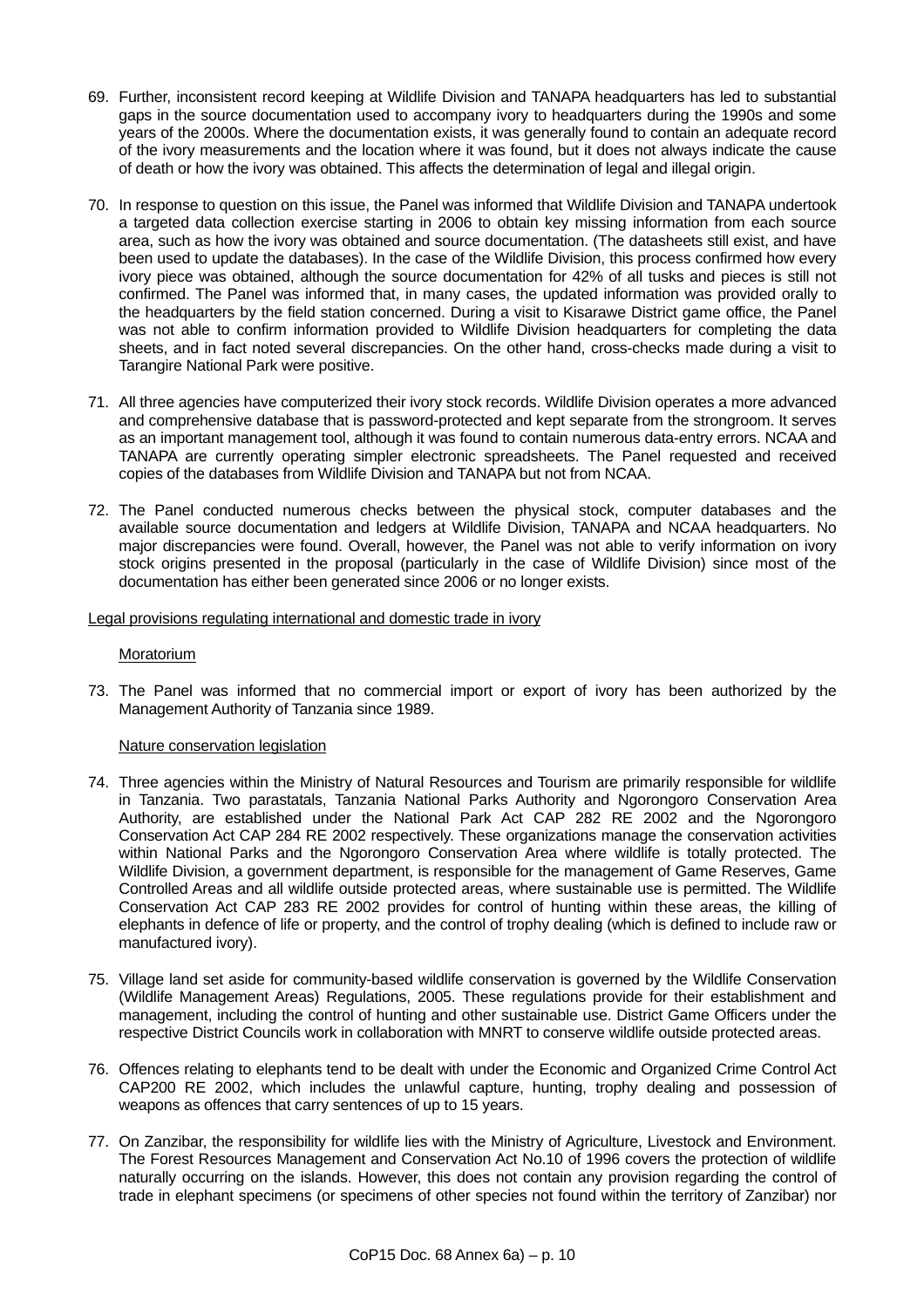- 69. Further, inconsistent record keeping at Wildlife Division and TANAPA headquarters has led to substantial gaps in the source documentation used to accompany ivory to headquarters during the 1990s and some years of the 2000s. Where the documentation exists, it was generally found to contain an adequate record of the ivory measurements and the location where it was found, but it does not always indicate the cause of death or how the ivory was obtained. This affects the determination of legal and illegal origin.
- 70. In response to question on this issue, the Panel was informed that Wildlife Division and TANAPA undertook a targeted data collection exercise starting in 2006 to obtain key missing information from each source area, such as how the ivory was obtained and source documentation. (The datasheets still exist, and have been used to update the databases). In the case of the Wildlife Division, this process confirmed how every ivory piece was obtained, although the source documentation for 42% of all tusks and pieces is still not confirmed. The Panel was informed that, in many cases, the updated information was provided orally to the headquarters by the field station concerned. During a visit to Kisarawe District game office, the Panel was not able to confirm information provided to Wildlife Division headquarters for completing the data sheets, and in fact noted several discrepancies. On the other hand, cross-checks made during a visit to Tarangire National Park were positive.
- 71. All three agencies have computerized their ivory stock records. Wildlife Division operates a more advanced and comprehensive database that is password-protected and kept separate from the strongroom. It serves as an important management tool, although it was found to contain numerous data-entry errors. NCAA and TANAPA are currently operating simpler electronic spreadsheets. The Panel requested and received copies of the databases from Wildlife Division and TANAPA but not from NCAA.
- 72. The Panel conducted numerous checks between the physical stock, computer databases and the available source documentation and ledgers at Wildlife Division, TANAPA and NCAA headquarters. No major discrepancies were found. Overall, however, the Panel was not able to verify information on ivory stock origins presented in the proposal (particularly in the case of Wildlife Division) since most of the documentation has either been generated since 2006 or no longer exists.

### Legal provisions regulating international and domestic trade in ivory

### Moratorium

73. The Panel was informed that no commercial import or export of ivory has been authorized by the Management Authority of Tanzania since 1989.

# Nature conservation legislation

- 74. Three agencies within the Ministry of Natural Resources and Tourism are primarily responsible for wildlife in Tanzania. Two parastatals, Tanzania National Parks Authority and Ngorongoro Conservation Area Authority, are established under the National Park Act CAP 282 RE 2002 and the Ngorongoro Conservation Act CAP 284 RE 2002 respectively. These organizations manage the conservation activities within National Parks and the Ngorongoro Conservation Area where wildlife is totally protected. The Wildlife Division, a government department, is responsible for the management of Game Reserves, Game Controlled Areas and all wildlife outside protected areas, where sustainable use is permitted. The Wildlife Conservation Act CAP 283 RE 2002 provides for control of hunting within these areas, the killing of elephants in defence of life or property, and the control of trophy dealing (which is defined to include raw or manufactured ivory).
- 75. Village land set aside for community-based wildlife conservation is governed by the Wildlife Conservation (Wildlife Management Areas) Regulations, 2005. These regulations provide for their establishment and management, including the control of hunting and other sustainable use. District Game Officers under the respective District Councils work in collaboration with MNRT to conserve wildlife outside protected areas.
- 76. Offences relating to elephants tend to be dealt with under the Economic and Organized Crime Control Act CAP200 RE 2002, which includes the unlawful capture, hunting, trophy dealing and possession of weapons as offences that carry sentences of up to 15 years.
- 77. On Zanzibar, the responsibility for wildlife lies with the Ministry of Agriculture, Livestock and Environment. The Forest Resources Management and Conservation Act No.10 of 1996 covers the protection of wildlife naturally occurring on the islands. However, this does not contain any provision regarding the control of trade in elephant specimens (or specimens of other species not found within the territory of Zanzibar) nor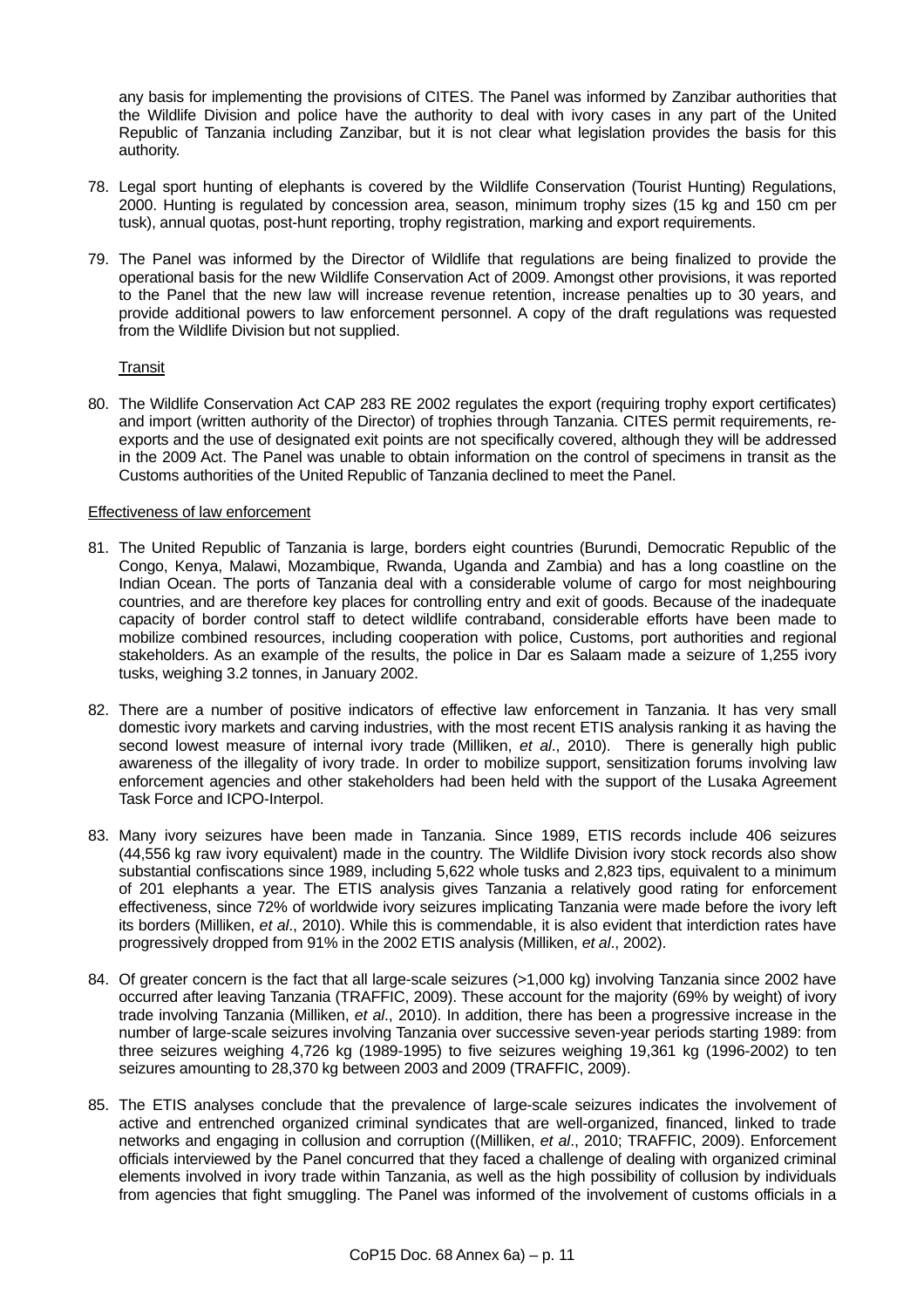any basis for implementing the provisions of CITES. The Panel was informed by Zanzibar authorities that the Wildlife Division and police have the authority to deal with ivory cases in any part of the United Republic of Tanzania including Zanzibar, but it is not clear what legislation provides the basis for this authority.

- 78. Legal sport hunting of elephants is covered by the Wildlife Conservation (Tourist Hunting) Regulations, 2000. Hunting is regulated by concession area, season, minimum trophy sizes (15 kg and 150 cm per tusk), annual quotas, post-hunt reporting, trophy registration, marking and export requirements.
- 79. The Panel was informed by the Director of Wildlife that regulations are being finalized to provide the operational basis for the new Wildlife Conservation Act of 2009. Amongst other provisions, it was reported to the Panel that the new law will increase revenue retention, increase penalties up to 30 years, and provide additional powers to law enforcement personnel. A copy of the draft regulations was requested from the Wildlife Division but not supplied.

## **Transit**

80. The Wildlife Conservation Act CAP 283 RE 2002 regulates the export (requiring trophy export certificates) and import (written authority of the Director) of trophies through Tanzania. CITES permit requirements, reexports and the use of designated exit points are not specifically covered, although they will be addressed in the 2009 Act. The Panel was unable to obtain information on the control of specimens in transit as the Customs authorities of the United Republic of Tanzania declined to meet the Panel.

## Effectiveness of law enforcement

- 81. The United Republic of Tanzania is large, borders eight countries (Burundi, Democratic Republic of the Congo, Kenya, Malawi, Mozambique, Rwanda, Uganda and Zambia) and has a long coastline on the Indian Ocean. The ports of Tanzania deal with a considerable volume of cargo for most neighbouring countries, and are therefore key places for controlling entry and exit of goods. Because of the inadequate capacity of border control staff to detect wildlife contraband, considerable efforts have been made to mobilize combined resources, including cooperation with police, Customs, port authorities and regional stakeholders. As an example of the results, the police in Dar es Salaam made a seizure of 1,255 ivory tusks, weighing 3.2 tonnes, in January 2002.
- 82. There are a number of positive indicators of effective law enforcement in Tanzania. It has very small domestic ivory markets and carving industries, with the most recent ETIS analysis ranking it as having the second lowest measure of internal ivory trade (Milliken, *et al*., 2010). There is generally high public awareness of the illegality of ivory trade. In order to mobilize support, sensitization forums involving law enforcement agencies and other stakeholders had been held with the support of the Lusaka Agreement Task Force and ICPO-Interpol.
- 83. Many ivory seizures have been made in Tanzania. Since 1989, ETIS records include 406 seizures (44,556 kg raw ivory equivalent) made in the country. The Wildlife Division ivory stock records also show substantial confiscations since 1989, including 5,622 whole tusks and 2,823 tips, equivalent to a minimum of 201 elephants a year. The ETIS analysis gives Tanzania a relatively good rating for enforcement effectiveness, since 72% of worldwide ivory seizures implicating Tanzania were made before the ivory left its borders (Milliken, *et al*., 2010). While this is commendable, it is also evident that interdiction rates have progressively dropped from 91% in the 2002 ETIS analysis (Milliken, *et al*., 2002).
- 84. Of greater concern is the fact that all large-scale seizures (>1,000 kg) involving Tanzania since 2002 have occurred after leaving Tanzania (TRAFFIC, 2009). These account for the majority (69% by weight) of ivory trade involving Tanzania (Milliken, *et al*., 2010). In addition, there has been a progressive increase in the number of large-scale seizures involving Tanzania over successive seven-year periods starting 1989: from three seizures weighing 4,726 kg (1989-1995) to five seizures weighing 19,361 kg (1996-2002) to ten seizures amounting to 28,370 kg between 2003 and 2009 (TRAFFIC, 2009).
- 85. The ETIS analyses conclude that the prevalence of large-scale seizures indicates the involvement of active and entrenched organized criminal syndicates that are well-organized, financed, linked to trade networks and engaging in collusion and corruption ((Milliken, *et al*., 2010; TRAFFIC, 2009). Enforcement officials interviewed by the Panel concurred that they faced a challenge of dealing with organized criminal elements involved in ivory trade within Tanzania, as well as the high possibility of collusion by individuals from agencies that fight smuggling. The Panel was informed of the involvement of customs officials in a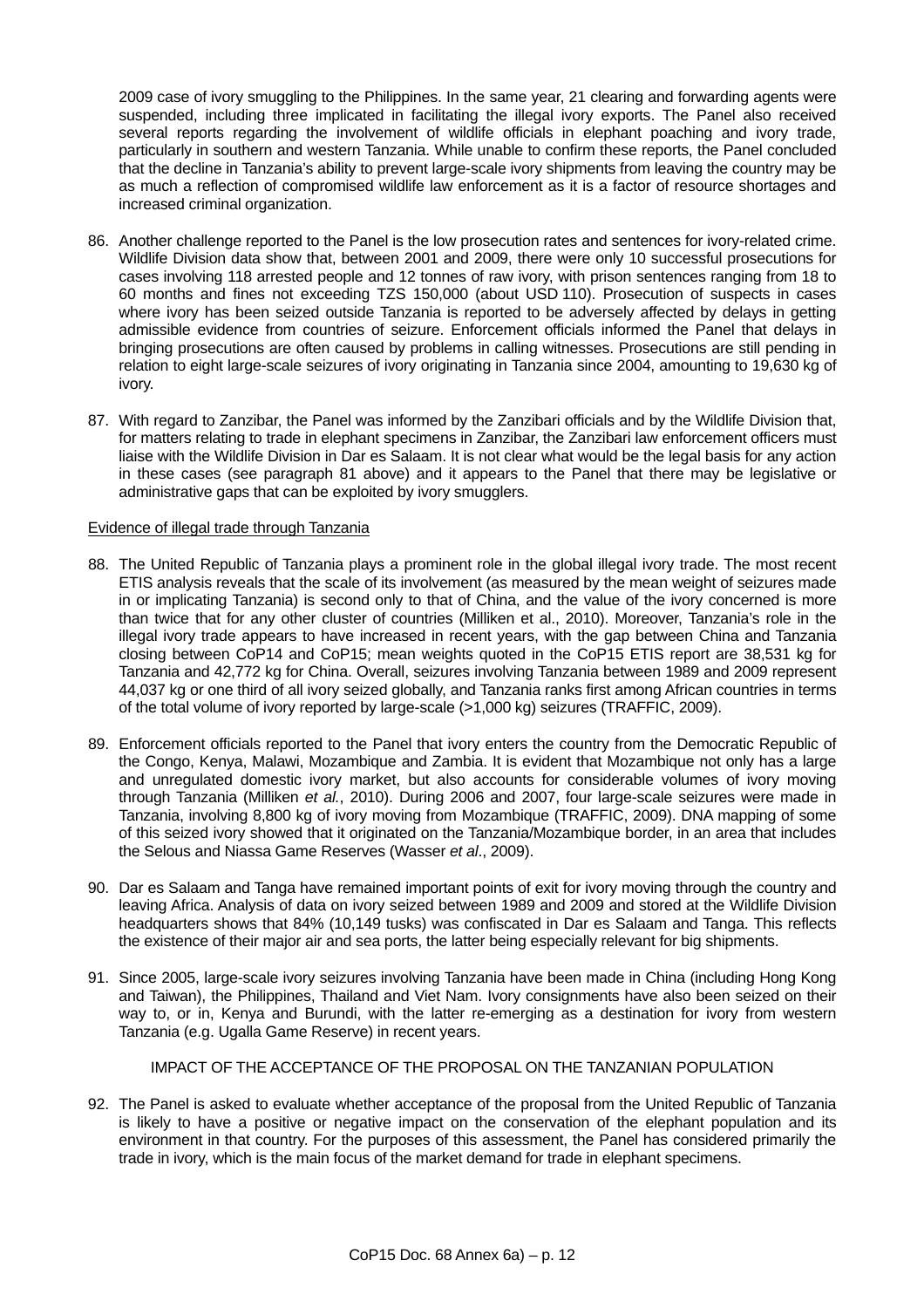2009 case of ivory smuggling to the Philippines. In the same year, 21 clearing and forwarding agents were suspended, including three implicated in facilitating the illegal ivory exports. The Panel also received several reports regarding the involvement of wildlife officials in elephant poaching and ivory trade, particularly in southern and western Tanzania. While unable to confirm these reports, the Panel concluded that the decline in Tanzania's ability to prevent large-scale ivory shipments from leaving the country may be as much a reflection of compromised wildlife law enforcement as it is a factor of resource shortages and increased criminal organization.

- 86. Another challenge reported to the Panel is the low prosecution rates and sentences for ivory-related crime. Wildlife Division data show that, between 2001 and 2009, there were only 10 successful prosecutions for cases involving 118 arrested people and 12 tonnes of raw ivory, with prison sentences ranging from 18 to 60 months and fines not exceeding TZS 150,000 (about USD 110). Prosecution of suspects in cases where ivory has been seized outside Tanzania is reported to be adversely affected by delays in getting admissible evidence from countries of seizure. Enforcement officials informed the Panel that delays in bringing prosecutions are often caused by problems in calling witnesses. Prosecutions are still pending in relation to eight large-scale seizures of ivory originating in Tanzania since 2004, amounting to 19,630 kg of ivory.
- 87. With regard to Zanzibar, the Panel was informed by the Zanzibari officials and by the Wildlife Division that, for matters relating to trade in elephant specimens in Zanzibar, the Zanzibari law enforcement officers must liaise with the Wildlife Division in Dar es Salaam. It is not clear what would be the legal basis for any action in these cases (see paragraph 81 above) and it appears to the Panel that there may be legislative or administrative gaps that can be exploited by ivory smugglers.

### Evidence of illegal trade through Tanzania

- 88. The United Republic of Tanzania plays a prominent role in the global illegal ivory trade. The most recent ETIS analysis reveals that the scale of its involvement (as measured by the mean weight of seizures made in or implicating Tanzania) is second only to that of China, and the value of the ivory concerned is more than twice that for any other cluster of countries (Milliken et al., 2010). Moreover, Tanzania's role in the illegal ivory trade appears to have increased in recent years, with the gap between China and Tanzania closing between CoP14 and CoP15; mean weights quoted in the CoP15 ETIS report are 38,531 kg for Tanzania and 42,772 kg for China. Overall, seizures involving Tanzania between 1989 and 2009 represent 44,037 kg or one third of all ivory seized globally, and Tanzania ranks first among African countries in terms of the total volume of ivory reported by large-scale (>1,000 kg) seizures (TRAFFIC, 2009).
- 89. Enforcement officials reported to the Panel that ivory enters the country from the Democratic Republic of the Congo, Kenya, Malawi, Mozambique and Zambia. It is evident that Mozambique not only has a large and unregulated domestic ivory market, but also accounts for considerable volumes of ivory moving through Tanzania (Milliken *et al.*, 2010). During 2006 and 2007, four large-scale seizures were made in Tanzania, involving 8,800 kg of ivory moving from Mozambique (TRAFFIC, 2009). DNA mapping of some of this seized ivory showed that it originated on the Tanzania/Mozambique border, in an area that includes the Selous and Niassa Game Reserves (Wasser *et al*., 2009).
- 90. Dar es Salaam and Tanga have remained important points of exit for ivory moving through the country and leaving Africa. Analysis of data on ivory seized between 1989 and 2009 and stored at the Wildlife Division headquarters shows that 84% (10,149 tusks) was confiscated in Dar es Salaam and Tanga. This reflects the existence of their major air and sea ports, the latter being especially relevant for big shipments.
- 91. Since 2005, large-scale ivory seizures involving Tanzania have been made in China (including Hong Kong and Taiwan), the Philippines, Thailand and Viet Nam. Ivory consignments have also been seized on their way to, or in, Kenya and Burundi, with the latter re-emerging as a destination for ivory from western Tanzania (e.g. Ugalla Game Reserve) in recent years.

IMPACT OF THE ACCEPTANCE OF THE PROPOSAL ON THE TANZANIAN POPULATION

92. The Panel is asked to evaluate whether acceptance of the proposal from the United Republic of Tanzania is likely to have a positive or negative impact on the conservation of the elephant population and its environment in that country. For the purposes of this assessment, the Panel has considered primarily the trade in ivory, which is the main focus of the market demand for trade in elephant specimens.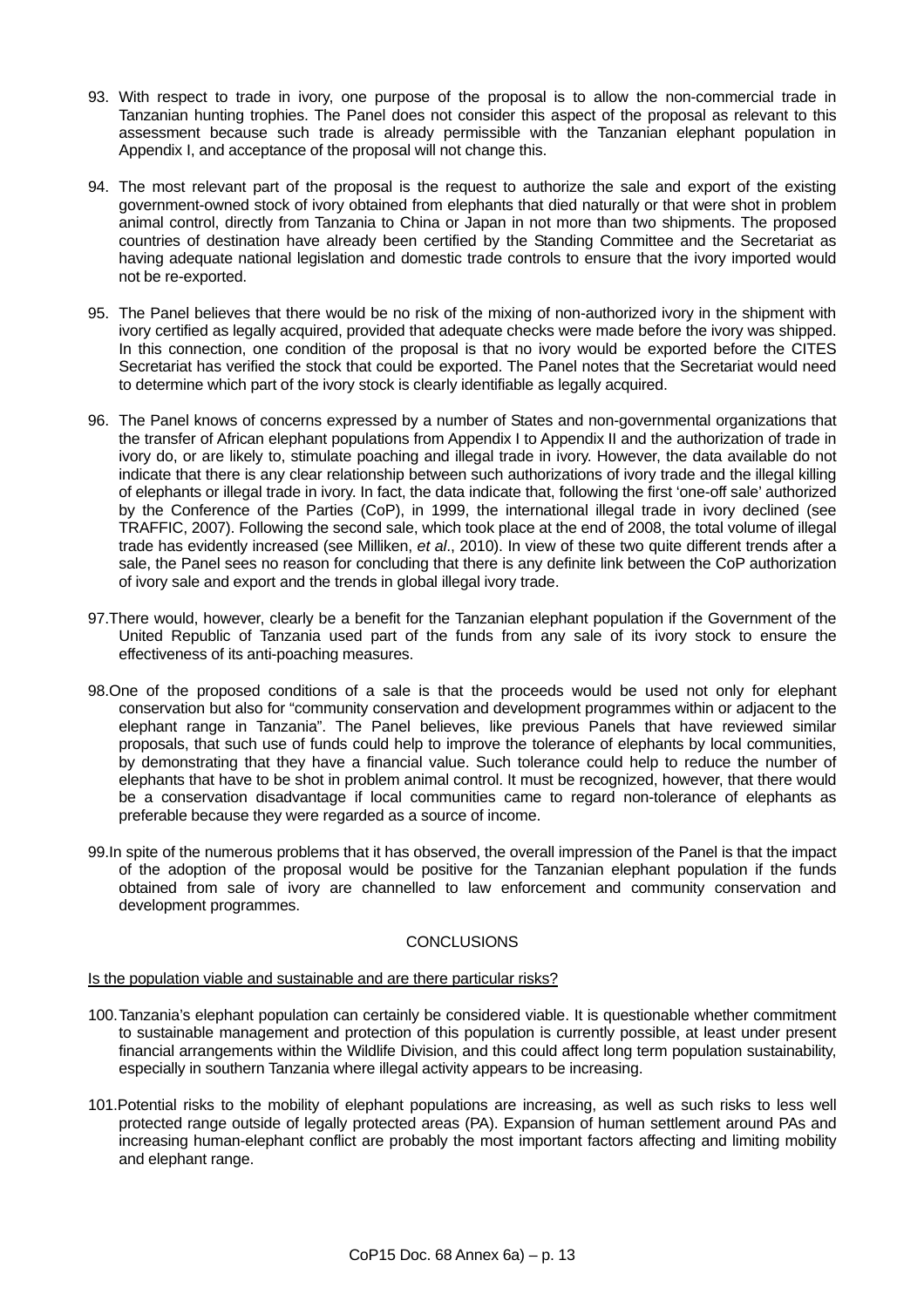- 93. With respect to trade in ivory, one purpose of the proposal is to allow the non-commercial trade in Tanzanian hunting trophies. The Panel does not consider this aspect of the proposal as relevant to this assessment because such trade is already permissible with the Tanzanian elephant population in Appendix I, and acceptance of the proposal will not change this.
- 94. The most relevant part of the proposal is the request to authorize the sale and export of the existing government-owned stock of ivory obtained from elephants that died naturally or that were shot in problem animal control, directly from Tanzania to China or Japan in not more than two shipments. The proposed countries of destination have already been certified by the Standing Committee and the Secretariat as having adequate national legislation and domestic trade controls to ensure that the ivory imported would not be re-exported.
- 95. The Panel believes that there would be no risk of the mixing of non-authorized ivory in the shipment with ivory certified as legally acquired, provided that adequate checks were made before the ivory was shipped. In this connection, one condition of the proposal is that no ivory would be exported before the CITES Secretariat has verified the stock that could be exported. The Panel notes that the Secretariat would need to determine which part of the ivory stock is clearly identifiable as legally acquired.
- 96. The Panel knows of concerns expressed by a number of States and non-governmental organizations that the transfer of African elephant populations from Appendix I to Appendix II and the authorization of trade in ivory do, or are likely to, stimulate poaching and illegal trade in ivory. However, the data available do not indicate that there is any clear relationship between such authorizations of ivory trade and the illegal killing of elephants or illegal trade in ivory. In fact, the data indicate that, following the first 'one-off sale' authorized by the Conference of the Parties (CoP), in 1999, the international illegal trade in ivory declined (see TRAFFIC, 2007). Following the second sale, which took place at the end of 2008, the total volume of illegal trade has evidently increased (see Milliken, *et al*., 2010). In view of these two quite different trends after a sale, the Panel sees no reason for concluding that there is any definite link between the CoP authorization of ivory sale and export and the trends in global illegal ivory trade.
- 97.There would, however, clearly be a benefit for the Tanzanian elephant population if the Government of the United Republic of Tanzania used part of the funds from any sale of its ivory stock to ensure the effectiveness of its anti-poaching measures.
- 98.One of the proposed conditions of a sale is that the proceeds would be used not only for elephant conservation but also for "community conservation and development programmes within or adjacent to the elephant range in Tanzania". The Panel believes, like previous Panels that have reviewed similar proposals, that such use of funds could help to improve the tolerance of elephants by local communities, by demonstrating that they have a financial value. Such tolerance could help to reduce the number of elephants that have to be shot in problem animal control. It must be recognized, however, that there would be a conservation disadvantage if local communities came to regard non-tolerance of elephants as preferable because they were regarded as a source of income.
- 99.In spite of the numerous problems that it has observed, the overall impression of the Panel is that the impact of the adoption of the proposal would be positive for the Tanzanian elephant population if the funds obtained from sale of ivory are channelled to law enforcement and community conservation and development programmes.

# **CONCLUSIONS**

# Is the population viable and sustainable and are there particular risks?

- 100. Tanzania's elephant population can certainly be considered viable. It is questionable whether commitment to sustainable management and protection of this population is currently possible, at least under present financial arrangements within the Wildlife Division, and this could affect long term population sustainability, especially in southern Tanzania where illegal activity appears to be increasing.
- 101.Potential risks to the mobility of elephant populations are increasing, as well as such risks to less well protected range outside of legally protected areas (PA). Expansion of human settlement around PAs and increasing human-elephant conflict are probably the most important factors affecting and limiting mobility and elephant range.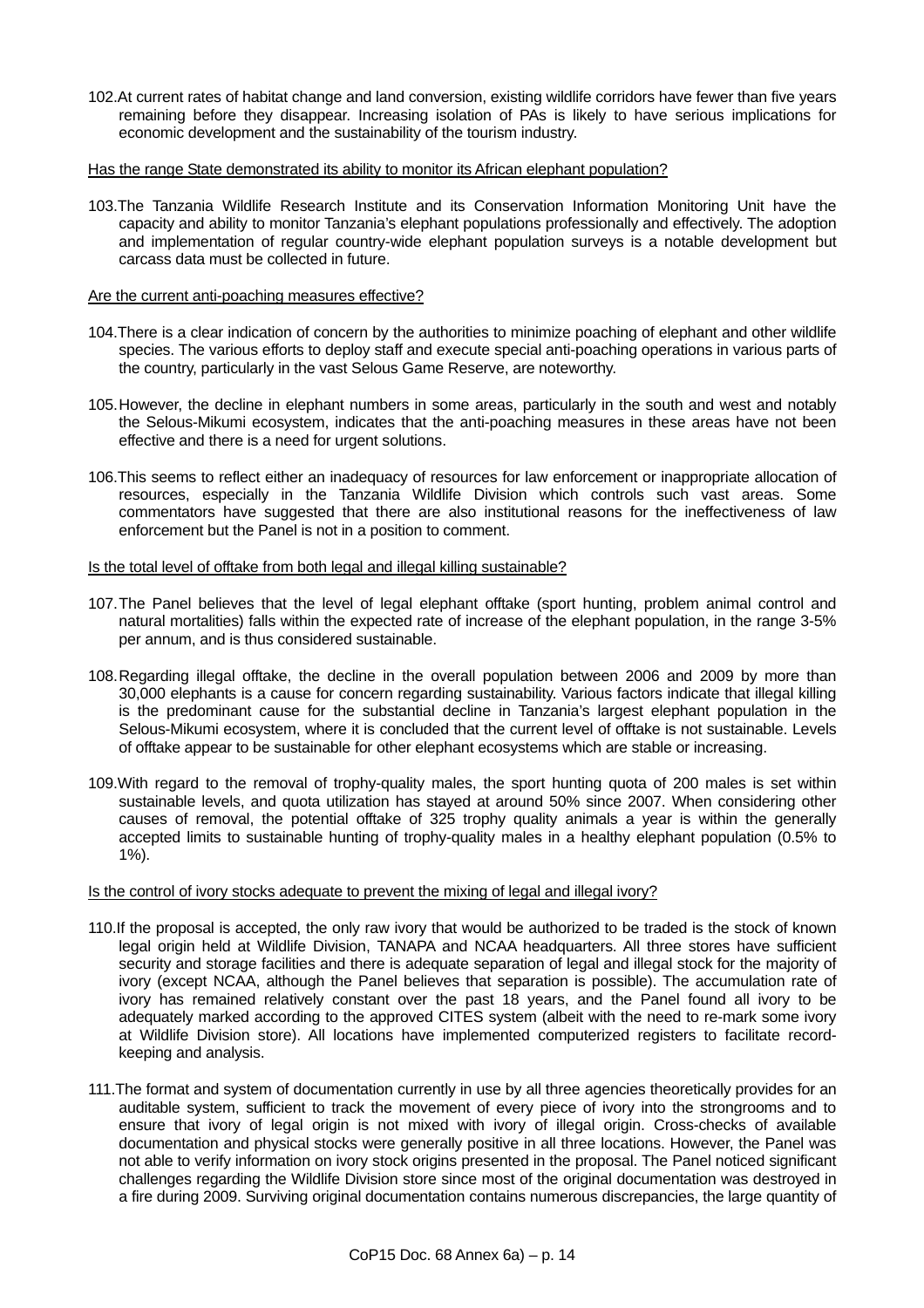102.At current rates of habitat change and land conversion, existing wildlife corridors have fewer than five years remaining before they disappear. Increasing isolation of PAs is likely to have serious implications for economic development and the sustainability of the tourism industry.

#### Has the range State demonstrated its ability to monitor its African elephant population?

103.The Tanzania Wildlife Research Institute and its Conservation Information Monitoring Unit have the capacity and ability to monitor Tanzania's elephant populations professionally and effectively. The adoption and implementation of regular country-wide elephant population surveys is a notable development but carcass data must be collected in future.

### Are the current anti-poaching measures effective?

- 104.There is a clear indication of concern by the authorities to minimize poaching of elephant and other wildlife species. The various efforts to deploy staff and execute special anti-poaching operations in various parts of the country, particularly in the vast Selous Game Reserve, are noteworthy.
- 105. However, the decline in elephant numbers in some areas, particularly in the south and west and notably the Selous-Mikumi ecosystem, indicates that the anti-poaching measures in these areas have not been effective and there is a need for urgent solutions.
- 106.This seems to reflect either an inadequacy of resources for law enforcement or inappropriate allocation of resources, especially in the Tanzania Wildlife Division which controls such vast areas. Some commentators have suggested that there are also institutional reasons for the ineffectiveness of law enforcement but the Panel is not in a position to comment.

### Is the total level of offtake from both legal and illegal killing sustainable?

- 107. The Panel believes that the level of legal elephant offtake (sport hunting, problem animal control and natural mortalities) falls within the expected rate of increase of the elephant population, in the range 3-5% per annum, and is thus considered sustainable.
- 108. Regarding illegal offtake, the decline in the overall population between 2006 and 2009 by more than 30,000 elephants is a cause for concern regarding sustainability. Various factors indicate that illegal killing is the predominant cause for the substantial decline in Tanzania's largest elephant population in the Selous-Mikumi ecosystem, where it is concluded that the current level of offtake is not sustainable. Levels of offtake appear to be sustainable for other elephant ecosystems which are stable or increasing.
- 109.With regard to the removal of trophy-quality males, the sport hunting quota of 200 males is set within sustainable levels, and quota utilization has stayed at around 50% since 2007. When considering other causes of removal, the potential offtake of 325 trophy quality animals a year is within the generally accepted limits to sustainable hunting of trophy-quality males in a healthy elephant population (0.5% to  $1\%$ ).

### Is the control of ivory stocks adequate to prevent the mixing of legal and illegal ivory?

- 110.If the proposal is accepted, the only raw ivory that would be authorized to be traded is the stock of known legal origin held at Wildlife Division, TANAPA and NCAA headquarters. All three stores have sufficient security and storage facilities and there is adequate separation of legal and illegal stock for the majority of ivory (except NCAA, although the Panel believes that separation is possible). The accumulation rate of ivory has remained relatively constant over the past 18 years, and the Panel found all ivory to be adequately marked according to the approved CITES system (albeit with the need to re-mark some ivory at Wildlife Division store). All locations have implemented computerized registers to facilitate recordkeeping and analysis.
- 111.The format and system of documentation currently in use by all three agencies theoretically provides for an auditable system, sufficient to track the movement of every piece of ivory into the strongrooms and to ensure that ivory of legal origin is not mixed with ivory of illegal origin. Cross-checks of available documentation and physical stocks were generally positive in all three locations. However, the Panel was not able to verify information on ivory stock origins presented in the proposal. The Panel noticed significant challenges regarding the Wildlife Division store since most of the original documentation was destroyed in a fire during 2009. Surviving original documentation contains numerous discrepancies, the large quantity of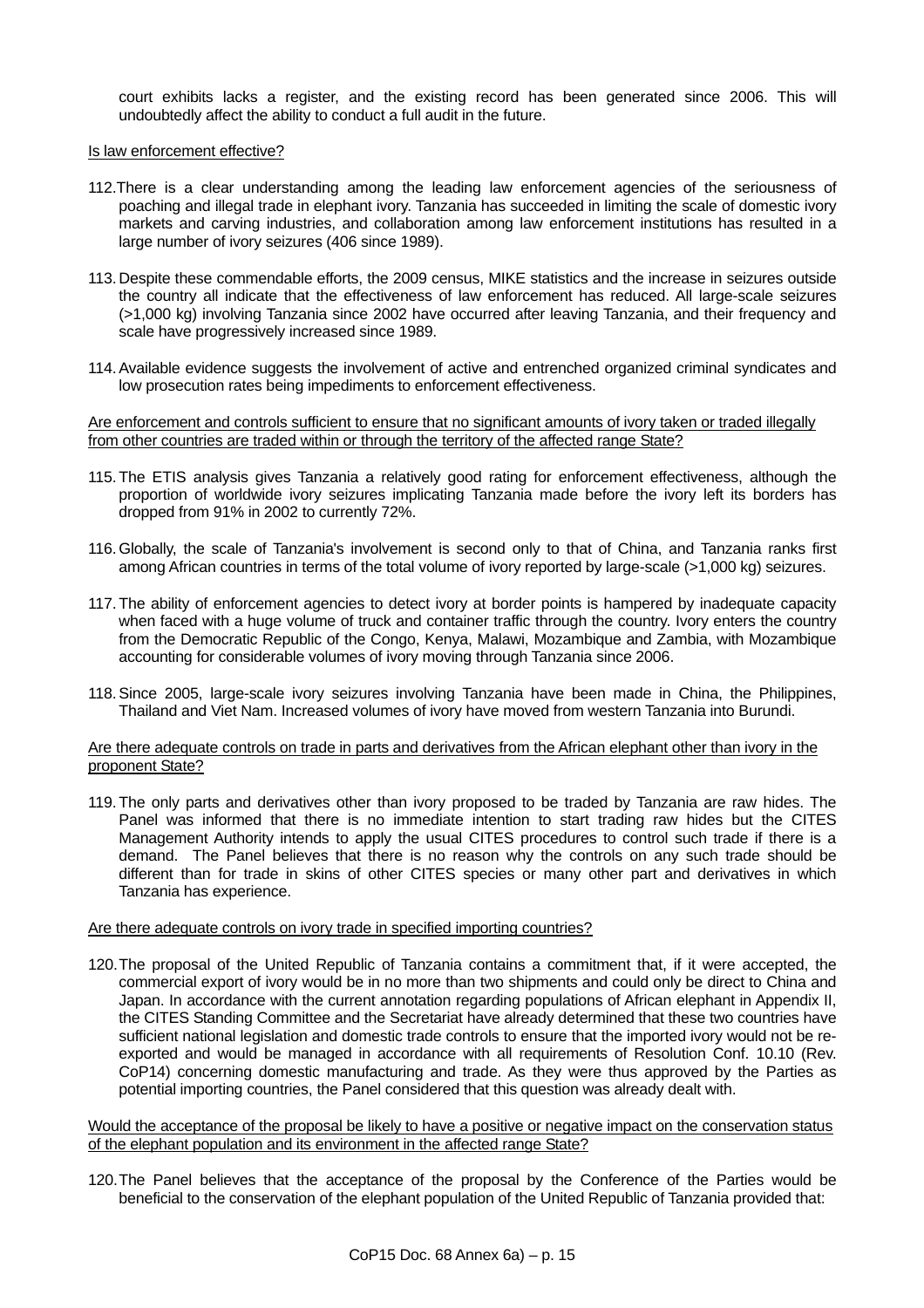court exhibits lacks a register, and the existing record has been generated since 2006. This will undoubtedly affect the ability to conduct a full audit in the future.

#### Is law enforcement effective?

- 112.There is a clear understanding among the leading law enforcement agencies of the seriousness of poaching and illegal trade in elephant ivory. Tanzania has succeeded in limiting the scale of domestic ivory markets and carving industries, and collaboration among law enforcement institutions has resulted in a large number of ivory seizures (406 since 1989).
- 113. Despite these commendable efforts, the 2009 census, MIKE statistics and the increase in seizures outside the country all indicate that the effectiveness of law enforcement has reduced. All large-scale seizures (>1,000 kg) involving Tanzania since 2002 have occurred after leaving Tanzania, and their frequency and scale have progressively increased since 1989.
- 114. Available evidence suggests the involvement of active and entrenched organized criminal syndicates and low prosecution rates being impediments to enforcement effectiveness.

Are enforcement and controls sufficient to ensure that no significant amounts of ivory taken or traded illegally from other countries are traded within or through the territory of the affected range State?

- 115. The ETIS analysis gives Tanzania a relatively good rating for enforcement effectiveness, although the proportion of worldwide ivory seizures implicating Tanzania made before the ivory left its borders has dropped from 91% in 2002 to currently 72%.
- 116. Globally, the scale of Tanzania's involvement is second only to that of China, and Tanzania ranks first among African countries in terms of the total volume of ivory reported by large-scale (>1,000 kg) seizures.
- 117. The ability of enforcement agencies to detect ivory at border points is hampered by inadequate capacity when faced with a huge volume of truck and container traffic through the country. Ivory enters the country from the Democratic Republic of the Congo, Kenya, Malawi, Mozambique and Zambia, with Mozambique accounting for considerable volumes of ivory moving through Tanzania since 2006.
- 118. Since 2005, large-scale ivory seizures involving Tanzania have been made in China, the Philippines, Thailand and Viet Nam. Increased volumes of ivory have moved from western Tanzania into Burundi.

### Are there adequate controls on trade in parts and derivatives from the African elephant other than ivory in the proponent State?

119. The only parts and derivatives other than ivory proposed to be traded by Tanzania are raw hides. The Panel was informed that there is no immediate intention to start trading raw hides but the CITES Management Authority intends to apply the usual CITES procedures to control such trade if there is a demand. The Panel believes that there is no reason why the controls on any such trade should be different than for trade in skins of other CITES species or many other part and derivatives in which Tanzania has experience.

### Are there adequate controls on ivory trade in specified importing countries?

120. The proposal of the United Republic of Tanzania contains a commitment that, if it were accepted, the commercial export of ivory would be in no more than two shipments and could only be direct to China and Japan. In accordance with the current annotation regarding populations of African elephant in Appendix II, the CITES Standing Committee and the Secretariat have already determined that these two countries have sufficient national legislation and domestic trade controls to ensure that the imported ivory would not be reexported and would be managed in accordance with all requirements of Resolution Conf. 10.10 (Rev. CoP14) concerning domestic manufacturing and trade. As they were thus approved by the Parties as potential importing countries, the Panel considered that this question was already dealt with.

Would the acceptance of the proposal be likely to have a positive or negative impact on the conservation status of the elephant population and its environment in the affected range State?

120. The Panel believes that the acceptance of the proposal by the Conference of the Parties would be beneficial to the conservation of the elephant population of the United Republic of Tanzania provided that: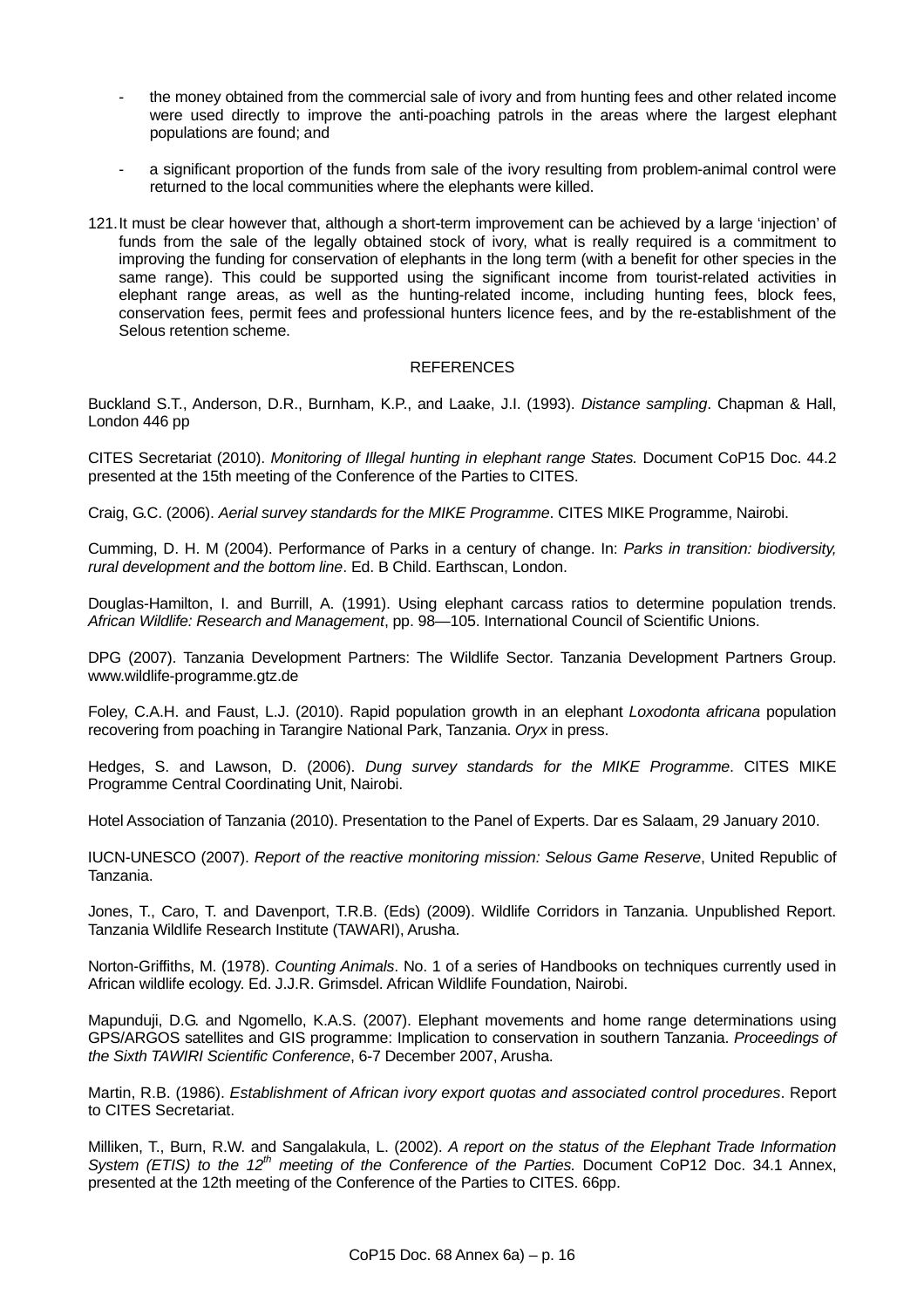- the money obtained from the commercial sale of ivory and from hunting fees and other related income were used directly to improve the anti-poaching patrols in the areas where the largest elephant populations are found; and
- a significant proportion of the funds from sale of the ivory resulting from problem-animal control were returned to the local communities where the elephants were killed.
- 121. It must be clear however that, although a short-term improvement can be achieved by a large 'injection' of funds from the sale of the legally obtained stock of ivory, what is really required is a commitment to improving the funding for conservation of elephants in the long term (with a benefit for other species in the same range). This could be supported using the significant income from tourist-related activities in elephant range areas, as well as the hunting-related income, including hunting fees, block fees, conservation fees, permit fees and professional hunters licence fees, and by the re-establishment of the Selous retention scheme.

## **REFERENCES**

Buckland S.T., Anderson, D.R., Burnham, K.P., and Laake, J.I. (1993). *Distance sampling*. Chapman & Hall, London 446 pp

CITES Secretariat (2010). *Monitoring of Illegal hunting in elephant range States.* Document CoP15 Doc. 44.2 presented at the 15th meeting of the Conference of the Parties to CITES.

Craig, G.C. (2006). *Aerial survey standards for the MIKE Programme*. CITES MIKE Programme, Nairobi.

Cumming, D. H. M (2004). Performance of Parks in a century of change. In: *Parks in transition: biodiversity, rural development and the bottom line*. Ed. B Child. Earthscan, London.

Douglas-Hamilton, I. and Burrill, A. (1991). Using elephant carcass ratios to determine population trends. *African Wildlife: Research and Management*, pp. 98—105. International Council of Scientific Unions.

DPG (2007). Tanzania Development Partners: The Wildlife Sector. Tanzania Development Partners Group. www.wildlife-programme.gtz.de

Foley, C.A.H. and Faust, L.J. (2010). Rapid population growth in an elephant *Loxodonta africana* population recovering from poaching in Tarangire National Park, Tanzania. *Oryx* in press.

Hedges, S. and Lawson, D. (2006). *Dung survey standards for the MIKE Programme*. CITES MIKE Programme Central Coordinating Unit, Nairobi.

Hotel Association of Tanzania (2010). Presentation to the Panel of Experts. Dar es Salaam, 29 January 2010.

IUCN-UNESCO (2007). *Report of the reactive monitoring mission: Selous Game Reserve*, United Republic of Tanzania.

Jones, T., Caro, T. and Davenport, T.R.B. (Eds) (2009). Wildlife Corridors in Tanzania. Unpublished Report. Tanzania Wildlife Research Institute (TAWARI), Arusha.

Norton-Griffiths, M. (1978). *Counting Animals*. No. 1 of a series of Handbooks on techniques currently used in African wildlife ecology. Ed. J.J.R. Grimsdel. African Wildlife Foundation, Nairobi.

Mapunduji, D.G. and Ngomello, K.A.S. (2007). Elephant movements and home range determinations using GPS/ARGOS satellites and GIS programme: Implication to conservation in southern Tanzania. *Proceedings of the Sixth TAWIRI Scientific Conference*, 6-7 December 2007, Arusha.

Martin, R.B. (1986). *Establishment of African ivory export quotas and associated control procedures*. Report to CITES Secretariat.

Milliken, T., Burn, R.W. and Sangalakula, L. (2002). *A report on the status of the Elephant Trade Information System (ETIS) to the 12<sup>th</sup> meeting of the Conference of the Parties. Document CoP12 Doc. 34.1 Annex,* presented at the 12th meeting of the Conference of the Parties to CITES. 66pp.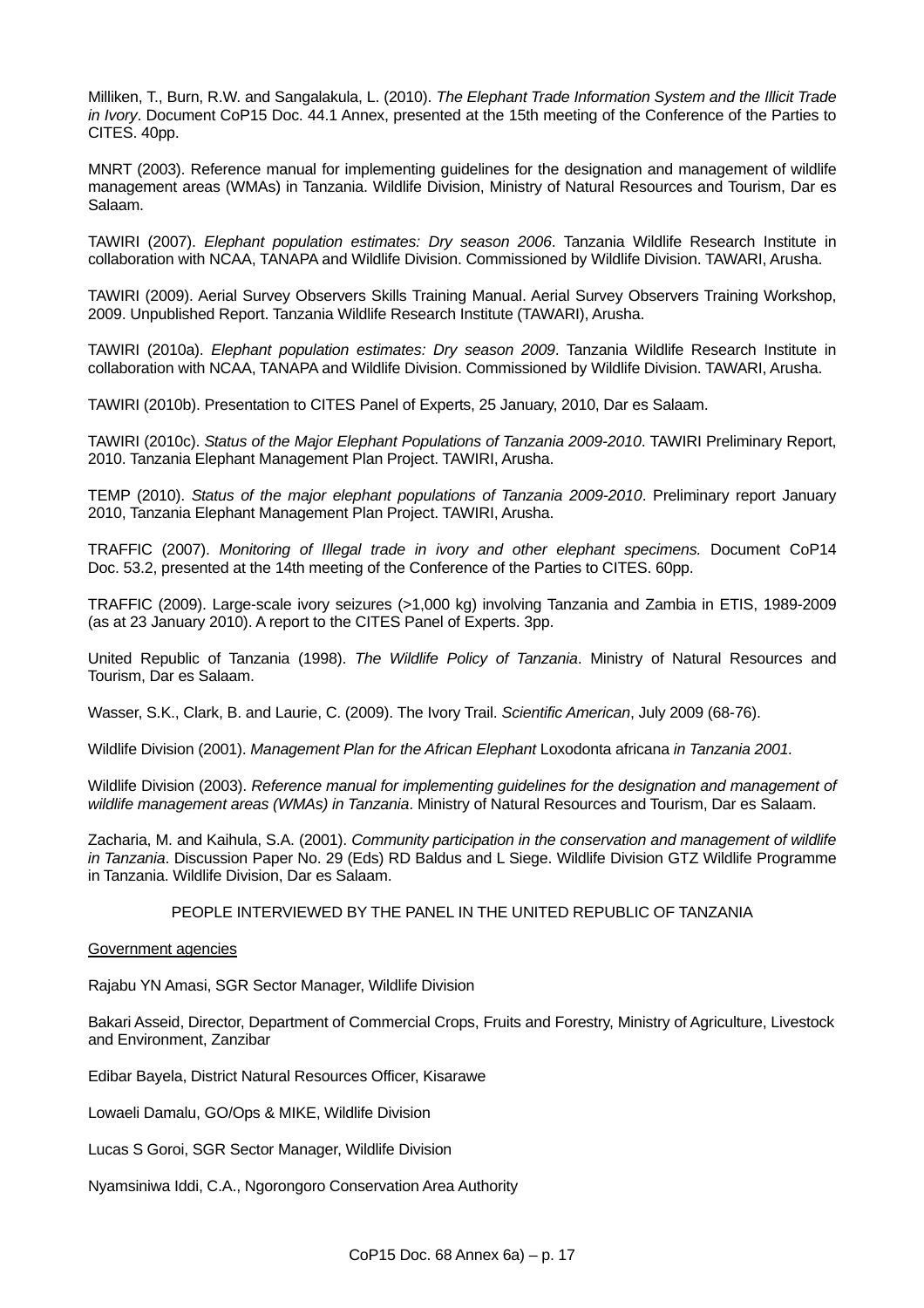Milliken, T., Burn, R.W. and Sangalakula, L. (2010). *The Elephant Trade Information System and the Illicit Trade in Ivory*. Document CoP15 Doc. 44.1 Annex, presented at the 15th meeting of the Conference of the Parties to CITES. 40pp.

MNRT (2003). Reference manual for implementing guidelines for the designation and management of wildlife management areas (WMAs) in Tanzania. Wildlife Division, Ministry of Natural Resources and Tourism, Dar es Salaam.

TAWIRI (2007). *Elephant population estimates: Dry season 2006*. Tanzania Wildlife Research Institute in collaboration with NCAA, TANAPA and Wildlife Division. Commissioned by Wildlife Division. TAWARI, Arusha.

TAWIRI (2009). Aerial Survey Observers Skills Training Manual. Aerial Survey Observers Training Workshop, 2009. Unpublished Report. Tanzania Wildlife Research Institute (TAWARI), Arusha.

TAWIRI (2010a). *Elephant population estimates: Dry season 2009*. Tanzania Wildlife Research Institute in collaboration with NCAA, TANAPA and Wildlife Division. Commissioned by Wildlife Division. TAWARI, Arusha.

TAWIRI (2010b). Presentation to CITES Panel of Experts, 25 January, 2010, Dar es Salaam.

TAWIRI (2010c). *Status of the Major Elephant Populations of Tanzania 2009-2010*. TAWIRI Preliminary Report, 2010. Tanzania Elephant Management Plan Project. TAWIRI, Arusha.

TEMP (2010). *Status of the major elephant populations of Tanzania 2009-2010*. Preliminary report January 2010, Tanzania Elephant Management Plan Project. TAWIRI, Arusha.

TRAFFIC (2007). *Monitoring of Illegal trade in ivory and other elephant specimens.* Document CoP14 Doc. 53.2, presented at the 14th meeting of the Conference of the Parties to CITES. 60pp.

TRAFFIC (2009). Large-scale ivory seizures (>1,000 kg) involving Tanzania and Zambia in ETIS, 1989-2009 (as at 23 January 2010). A report to the CITES Panel of Experts. 3pp.

United Republic of Tanzania (1998). *The Wildlife Policy of Tanzania*. Ministry of Natural Resources and Tourism, Dar es Salaam.

Wasser, S.K., Clark, B. and Laurie, C. (2009). The Ivory Trail. *Scientific American*, July 2009 (68-76).

Wildlife Division (2001). *Management Plan for the African Elephant* Loxodonta africana *in Tanzania 2001.*

Wildlife Division (2003). *Reference manual for implementing guidelines for the designation and management of wildlife management areas (WMAs) in Tanzania*. Ministry of Natural Resources and Tourism, Dar es Salaam.

Zacharia, M. and Kaihula, S.A. (2001). *Community participation in the conservation and management of wildlife in Tanzania*. Discussion Paper No. 29 (Eds) RD Baldus and L Siege. Wildlife Division GTZ Wildlife Programme in Tanzania. Wildlife Division, Dar es Salaam.

### PEOPLE INTERVIEWED BY THE PANEL IN THE UNITED REPUBLIC OF TANZANIA

### Government agencies

Rajabu YN Amasi, SGR Sector Manager, Wildlife Division

Bakari Asseid, Director, Department of Commercial Crops, Fruits and Forestry, Ministry of Agriculture, Livestock and Environment, Zanzibar

Edibar Bayela, District Natural Resources Officer, Kisarawe

Lowaeli Damalu, GO/Ops & MIKE, Wildlife Division

Lucas S Goroi, SGR Sector Manager, Wildlife Division

Nyamsiniwa Iddi, C.A., Ngorongoro Conservation Area Authority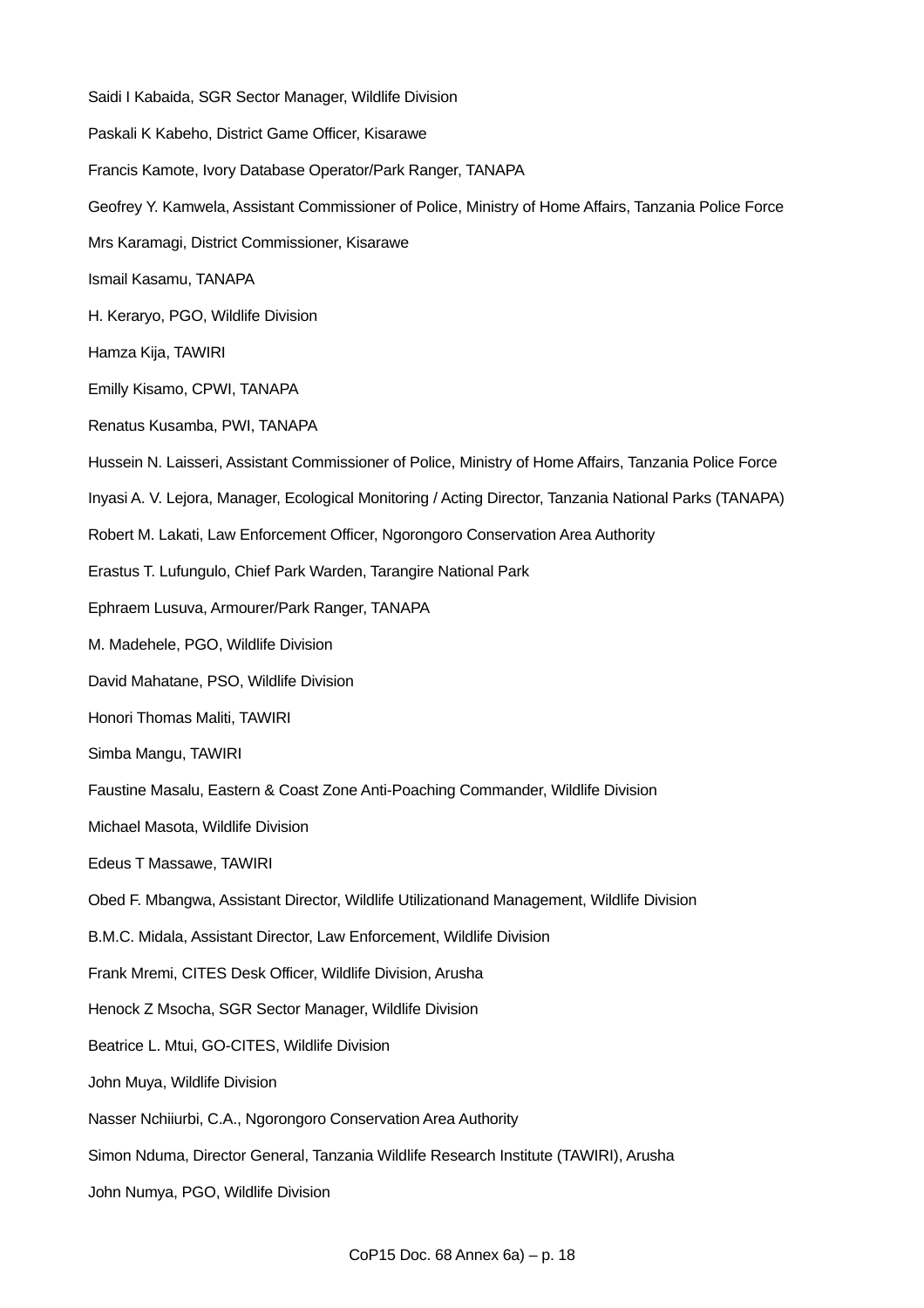Saidi I Kabaida, SGR Sector Manager, Wildlife Division Paskali K Kabeho, District Game Officer, Kisarawe Francis Kamote, Ivory Database Operator/Park Ranger, TANAPA Geofrey Y. Kamwela, Assistant Commissioner of Police, Ministry of Home Affairs, Tanzania Police Force Mrs Karamagi, District Commissioner, Kisarawe Ismail Kasamu, TANAPA H. Keraryo, PGO, Wildlife Division Hamza Kija, TAWIRI Emilly Kisamo, CPWI, TANAPA Renatus Kusamba, PWI, TANAPA Hussein N. Laisseri, Assistant Commissioner of Police, Ministry of Home Affairs, Tanzania Police Force Inyasi A. V. Lejora, Manager, Ecological Monitoring / Acting Director, Tanzania National Parks (TANAPA) Robert M. Lakati, Law Enforcement Officer, Ngorongoro Conservation Area Authority Erastus T. Lufungulo, Chief Park Warden, Tarangire National Park Ephraem Lusuva, Armourer/Park Ranger, TANAPA M. Madehele, PGO, Wildlife Division David Mahatane, PSO, Wildlife Division Honori Thomas Maliti, TAWIRI Simba Mangu, TAWIRI Faustine Masalu, Eastern & Coast Zone Anti-Poaching Commander, Wildlife Division Michael Masota, Wildlife Division Edeus T Massawe, TAWIRI Obed F. Mbangwa, Assistant Director, Wildlife Utilizationand Management, Wildlife Division B.M.C. Midala, Assistant Director, Law Enforcement, Wildlife Division Frank Mremi, CITES Desk Officer, Wildlife Division, Arusha Henock Z Msocha, SGR Sector Manager, Wildlife Division Beatrice L. Mtui, GO-CITES, Wildlife Division John Muya, Wildlife Division Nasser Nchiiurbi, C.A., Ngorongoro Conservation Area Authority Simon Nduma, Director General, Tanzania Wildlife Research Institute (TAWIRI), Arusha John Numya, PGO, Wildlife Division